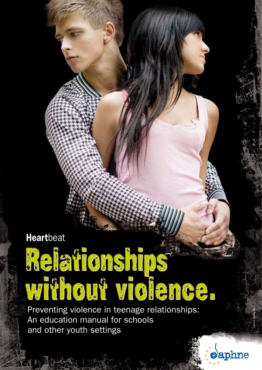WIN JOK

# Heartbeat<br>Meiationships<br>Without violence.

Preventing violence in teenage relationships: An education manual for schools and other youth settings



come-to-ebeling.de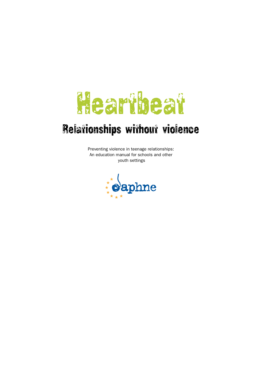# Heartbeat

# Relationships without violence

Preventing violence in teenage relationships: An education manual for schools and other youth settings

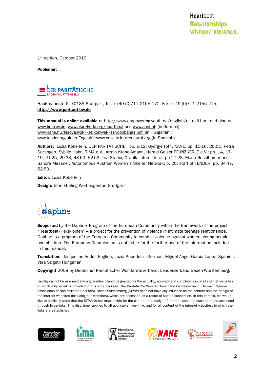1st edition, October 2010

Publisher:



Haußmannstr. 6, 70188 Stuttgart, Tel. ++49 (0)711 2155 172, Fax ++49 (0)711 2155 215, http://www.paritaet-bw.de

**This manual is online available** at http://www.empowering-youth.de/english/aktuell.html and also at www.tima-ev.de, www.pfunzkerle.org/heartbeat and www.aoef.at; (in German); www.nane.hu/kiadvanyok/kezikonyvek/szivdobbanas.pdf (in Hungarian); www.tender.org.uk (in English); www.cazalla-intercultural.org (in Spanish)

Authors: Luzia Köberlein, DER PARITÄTISCHE, pp. 6-12; Györgyi Tóth, NANE, pp. 15-16, 26,51; Petra Sartingen, Sybille Hahn, TIMA e.V., Armin Krohe-Amann, Harald Gaiser PFUNZKERLE e.V.: pp. 14, 17- 19, 21-25, 29-33, 48-50, 52-53; Tea Stanic, Cazalla-Intercultural, pp.27-28; Maria Rösslhumer und Sandra Messner, Autonomous Austrian Women's Shelter Network: p. 20; staff of TENDER: pp. 34-47, 52-53.

Editor: Luzia Köberlein

**Design:** Jens Ebeling Werbeagentur, Stuttgart



**Supported** by the Daphne–Program of the European Community within the framework of the project "Heartbeat/Herzklopfen" – a project for the prevention of violence in intimate teenage relationships. Daphne is a program of the European Community to combat violence against women, young people and children. The European Commission is not liable for the further use of the information included in this manual.

Translation: Jacqueline Audet- English; Luzia Köberlein - German; Miguel Angel García Lopez- Spanish; Vera Szigeti- Hungarian

Copyright 2008 by Deutscher Paritätischer Wohlfahrtsverband, Landesverband Baden-Württemberg,

Liability cannot be assumed and a guarantee cannot be granted for the actuality, accuracy and completeness of all internet websites to which a hyperlink is provided in this work package. The Paritätische Wohlfahrtsverband Landesverband (German Regional Association of Non-affiliated Charities), Baden-Württemberg (DPWV) does not have any influence on the content and the design of the internet websites (including sub-websites), which are accessed as a result of such a connection. In this context, we would like to explicitly state that the DPWV is not responsible for the content and design of Internet websites such as those accessed through hyperlinks. This disclaimer applies to all applicable hyperlinks and for all content of the internet websites, to which the links are established.











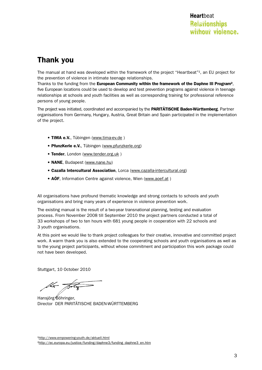# Thank you

The manual at hand was developed within the framework of the project "Heartbeat"<sup>1</sup>, an EU project for the prevention of violence in intimate teenage relationships.

Thanks to the funding from the European Community within the framework of the Daphne III Program<sup>2</sup>, five European locations could be used to develop and test prevention programs against violence in teenage relationships at schools and youth facilities as well as corresponding training for professional reference persons of young people.

The project was initiated, coordinated and accompanied by the PARITÄTISCHE Baden-Württemberg. Partner organisations from Germany, Hungary, Austria, Great Britain and Spain participated in the implementation of the project.

- TIMA e.V., Tübingen (www.tima-ev.de)
- PfunzKerle e.V., Tübingen (www.pfunzkerle.org)
- Tender, London (www.tender.org.uk)
- **NANE**, Budapest (www.nane.hu)
- Cazalla Intercultural Association, Lorca (www.cazalla-intercultural.org)
- AÖF, Information Centre against violence, Wien (www.aoef.at)

All organisations have profound thematic knowledge and strong contacts to schools and youth organisations and bring many years of experience in violence prevention work.

The existing manual is the result of a two-year transnational planning, testing and evaluation process. From November 2008 till September 2010 the project partners conducted a total of 33 workshops of two to ten hours with 681 young people in cooperation with 22 schools and 3 youth organisations.

At this point we would like to thank project colleagues for their creative, innovative and committed project work. A warm thank you is also extended to the cooperating schools and youth organisations as well as to the young project participants, without whose commitment and participation this work package could not have been developed.

Stuttgart, 10 October 2010

lla total

Hansjörg Böhringer, Director DER PARITÄTISCHE BADEN-WÜRTTEMBERG

1http://www.empowering-youth.de/aktuell.html <sup>2</sup>http://ec.europa.eu/justice/funding/daphne3/funding\_daphne3\_en.htm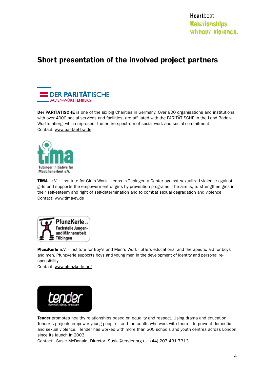# Short presentation of the involved project partners



Der PARITÄTISCHE is one of the six big Charities in Germany. Over 800 organisations and institutions, with over 4000 social services and facilities, are affiliated with the PARITÄTISCHE in the Land Baden-Württemberg, which represent the entire spectrum of social work and social commitment. Contact: www.paritaet-bw.de



TIMA e.V. – Institute for Girl's Work - keeps in Tübingen a Center against sexualized violence against girls and supports the empowerment of girls by prevention programs. The aim is, to strengthen girls in their self-esteem and right of self-determination and to combat sexual degradation and violence. Contact: www.tima-ev.de



PfunzKerle e.V. - Institute for Boy's and Men's Work - offers educational and therapeutic aid for boys and men. PfunzKerle supports boys and young men in the development of identity and personal responsibility.

Contact: www.pfunzkerle.org



Tender promotes healthy relationships based on equality and respect. Using drama and education, Tender's projects empower young people – and the adults who work with them – to prevent domestic and sexual violence. Tender has worked with more than 200 schools and youth centres across London since its launch in 2003.

Contact: Susie McDonald, Director Susie@tender.org.uk (44) 207 431 7313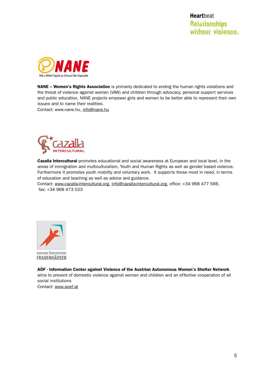

NANE - Women's Rights Association is primarily dedicated to ending the human rights violations and the threat of violence against women (VAW) and children through advocacy, personal support services and public education. NANE projects empower girls and women to be better able to represent their own issues and to name their realities.

Contact: www.nane.hu, info@nane.hu



Cazalla Intercultural promotes educational and social awareness at European and local level, in the areas of immigration and multiculturalism, Youth and Human Rights as well as gender based violence. Furthermore it promotes youth mobility and voluntary work. It supports those most in need, in terms of education and teaching as well as advice and guidance.

Contact: www.cazalla-intercultural.org, info@cazalla-intercultural.org, office: +34 968 477 566, fax: +34 968 473 523



AÖF - Information Center against Violence of the Austrian Autonomous Women's Shelter Network aims to prevent of domestic violence against women and children and an effective cooperation of all social institutions Contact: www.aoef.at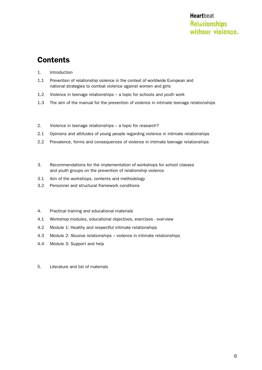# **Contents**

- 1. Introduction
- 1.1 Prevention of relationship violence in the context of worldwide European and national strategies to combat violence against women and girls
- 1.2 Violence in teenage relationships a topic for schools and youth work
- 1.3 The aim of the manual for the prevention of violence in intimate teenage relationships
- 2. Violence in teenage relationships a topic for research?
- 2.1 Opinions and attitudes of young people regarding violence in intimate relationships
- 2.2 Prevalence, forms and consequences of violence in intimate teenage relationships
- 3. Recommendations for the implementation of workshops for school classes and youth groups on the prevention of relationship violence
- 3.1 Aim of the workshops, contents and methodology
- 3.2 Personnel and structural framework conditions
- 4. Practical training and educational materials
- 4.1 Workshop modules, educational objectives, exercises overview
- 4.2 Module 1: Healthy and respectful intimate relationships
- 4.3 Module 2: Abusive relationships violence in intimate relationships
- 4.4 Module 3: Support and help
- 5. Literature and list of materials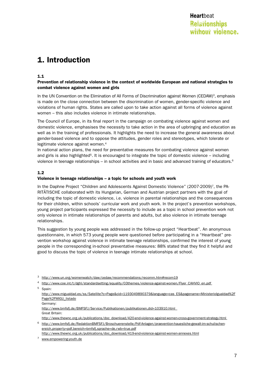# 1. Introduction

#### 1.1

#### Prevention of relationship violence in the context of worldwide European and national strategies to combat violence against women and girls

In the UN Convention on the Elimination of All Forms of Discrimination against Women (CEDAW)<sup>3</sup>, emphasis is made on the close connection between the discrimination of women, gender-specific violence and violations of human rights. States are called upon to take action against all forms of violence against women – this also includes violence in intimate relationships.

The Council of Europe, in its final report in the campaign on combating violence against women and domestic violence, emphasises the necessity to take action in the area of upbringing and education as well as in the training of professionals. It highlights the need to increase the general awareness about gender-based violence and to oppose the attitudes, gender roles and stereotypes, which tolerate or legitimate violence against women.<sup>4</sup>

In national action plans, the need for preventative measures for combating violence against women and girls is also highlighted<sup>5</sup>. It is encouraged to integrate the topic of domestic violence – including violence in teenage relationships – in school activities and in basic and advanced training of educators.<sup>6</sup>

#### 1.2

#### Violence in teenage relationships – a topic for schools and youth work

In the Daphne Project "Children and Adolescents Against Domestic Violence" (2007-2009)7, the PA-RITÄTISCHE collaborated with its Hungarian, German and Austrian project partners with the goal of including the topic of domestic violence, i.e. violence in parental relationships and the consequences for their children, within schools' curricular work and youth work. In the project's prevention workshops, young project participants expressed the necessity to include as a topic in school prevention work not only violence in intimate relationships of parents and adults, but also violence in intimate teenage relationships.

This suggestion by young people was addressed in the follow-up project "Heartbeat". An anonymous questionnaire, in which 573 young people were questioned before participating in a "Heartbeat" prevention workshop against violence in intimate teenage relationships, confirmed the interest of young people in the corresponding in-school preventative measures: 88% stated that they find it helpful and good to discuss the topic of violence in teenage intimate relationships at school.

<sup>4</sup> http://www.coe.int/t/dghl/standardsetting/equality/03themes/violence-against-women/Flyer\_CAHVIO\_en.pdf

5 Spain:

http://www.migualdad.es/ss/Satellite?c=Page&cid=1193049890379&language=cas\_ES&pagename=MinisterioIgualdad%2F Page%2FMIGU\_listado

http://www.bmfsfj.de/BMFSFJ/Service/Publikationen/publikationen,did=103910.html Great Britain:

http://www.thewnc.org.uk/publications/doc\_download/420-end-violence-against-women-cross-government-strategy.html

6 http://www.bmfsfj.de/RedaktionBMFSFJ/Broschuerenstelle/Pdf-Anlagen/praevention-hauesliche-gewalt-im-schulischenereich,property=pdf,bereich=bmfsfj,sprache=de,rwb=true.pdf

http://www.thewnc.org.uk/publications/doc\_download/419-end-violence-against-women-annexes.html

<sup>3</sup> http://www.un.org/womenwatch/daw/cedaw/recommendations/recomm.htm#recom19

Germany:

<sup>7</sup> www.empowering-youth.de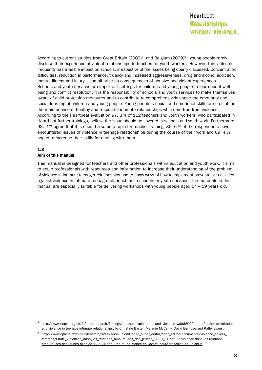According to current studies from Great Britain (2009)<sup>8</sup> and Belgium (2009)<sup>9</sup>, young people rarely disclose their experience of violent relationships to teachers or youth workers. However, this violence frequently has a visible impact on schools, irrespective of the issues being openly discussed. Concentration difficulties, reduction in performance, truancy and increased aggressiveness, drug and alcohol addiction, mental illness and injury – can all arise as consequences of abusive and violent experiences. Schools and youth services are important settings for children and young people to learn about wellbeing and conflict resolution. It is the responsibility of schools and youth services to make themselves aware of child protection measures and to contribute to comprehensively shape the emotional and social learning of children and young people. Young people's social and emotional skills are crucial for the maintenance of healthy and respectful intimate relationships which are free from violence. According to the Heartbeat evaluation 97, 3 % of 112 teachers and youth workers, who participated in Heartbeat further trainings, believe the issue should be covered in schools and youth work. Furthermore, 98, 2 % agree that this should also be a topic for teacher training. 36, 6 % of the respondents have encountered issues of violence in teenage relationships during the course of their work and 69, 4 % hoped to increase their skills for dealing with them.

#### 1.3

#### Aim of this manual

This manual is designed for teachers and other professionals within education and youth work. It aims to equip professionals with resources and information to increase their understanding of the problem of violence in intimate teenager relationships and to show ways of how to implement preventative activities against violence in intimate teenage relationships in schools or youth services. The materials in this manual are especially suitable for delivering workshops with young people aged 14 – 19 years old.

8 http://www.nspcc.org.uk/inform/research/findings/partner\_exploitation\_and\_violence\_wda68092.html, Partner exploitation and violence in teenage intimate relationships, by Christine Barter, Melanie McCarry, David Berridge and Kathy Evans.

<sup>9</sup> http://www.egalite.cfwb.be/fileadmin/sites/sdec/upload/sdec\_super\_editor/sdec\_editor/documents/violence\_envers\_ femmes/Etude\_Violences\_dans\_les\_relations\_amoureuses\_des\_jeunes\_2009\_01.pdf, La violence dans les relations amoureuses des jeunes âgés de 12 à 21 ans. Une étude menée en Communauté française de Belgique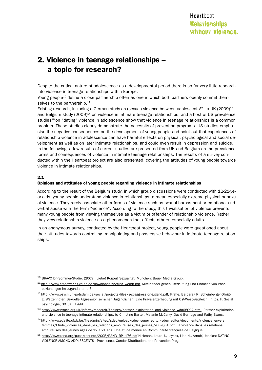# 2. Violence in teenage relationships – a topic for research?

Despite the critical nature of adolescence as a developmental period there is so far very little research into violence in teenage relationships within Europe.

Young people<sup>10</sup> define a close partnership often as one in which both partners openly commit themselves to the partnership.<sup>11</sup>

Existing research, including a German study on (sexual) violence between adolescents<sup>12</sup>, a UK (2009)<sup>13</sup> and Belgium study (2009)14 on violence in intimate teenage relationships, and a host of US prevalence studies<sup>15</sup> on "dating" violence in adolescence show that violence in teenage relationships is a common problem. These studies clearly demonstrate the necessity of prevention programs. US studies emphasise the negative consequences on the development of young people and point out that experiences of relationship violence in adolescence can have harmful effects on physical, psychological and social development as well as on later intimate relationships, and could even result in depression and suicide. In the following, a few results of current studies are presented from UK and Belgium on the prevalence, forms and consequences of violence in intimate teenage relationships. The results of a survey conducted within the Heartbeat project are also presented, covering the attitudes of young people towards violence in intimate relationships.

#### 2.1

#### Opinions and attitudes of young people regarding violence in intimate relationships

According to the result of the Belgium study, in which group discussions were conducted with 12-21-year-olds, young people understand violence in relationships to mean especially extreme physical or sexual violence. They rarely associate other forms of violence such as sexual harassment or emotional and verbal abuse with the term "violence". According to the study, this trivialisation of violence prevents many young people from viewing themselves as a victim or offender of relationship violence. Rather they view relationship violence as a phenomenon that affects others, especially adults.

In an anonymous survey, conducted by the Heartbeat project, young people were questioned about their attitudes towards controlling, manipulating and possessive behaviour in intimate teenage relationships:

<sup>10</sup> BRAVO Dr.-Sommer-Studie. (2009). Liebe! Körper! Sexualität! München: Bauer Media Group.

<sup>11</sup> http://www.empowering-youth.de/downloads/vortrag\_wendt.pdf, Miteinander gehen. Bedeutung und Chancen von Paarbeziehungen im Jugendalter, p.3

<sup>12</sup> http://www.psych.uni-potsdam.de/social/projects/files/sex-aggression-jugend.pdf, Krahé, Barbara/ R. Scheinberger-Olwig/ E. Walzenhöfer: Sexuelle Aggression zwischen Jugendlichen: Eine Prävalenzerhebung mit Ost-West-Vergleich, in: Zs. F. Sozial psychologie, 30. Jg., 1999

13 http://www.nspcc.org.uk/inform/research/findings/partner\_exploitation\_and\_violence\_wda68092.html, Partner exploitation and violence in teenage intimate relationships, by Christine Barter, Melanie McCarry, David Berridge and Kathy Evans.

14 http://www.egalite.cfwb.be/fileadmin/sites/sdec/upload/sdec\_super\_editor/sdec\_editor/documents/violence\_envers\_ femmes/Etude\_Violences\_dans\_les\_relations\_amoureuses\_des\_jeunes\_2009\_01.pdf, La violence dans les relations amoureuses des jeunes âgés de 12 à 21 ans. Une étude menée en Communauté française de Belgique

15 http://www.rand.org/pubs/reprints/2005/RAND\_RP1176.pdf Hickman, Laura J., Jaycox, Lisa H., Arnoff, Jessica: DATING VIOLENCE AMONG ADOLESCENTS - Prevalence, Gender Distribution, and Prevention Program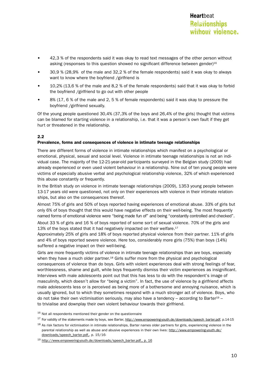- 42,3 % of the respondents said it was okay to read text messages of the other person without asking (responses to this question showed no significant difference between gender)16
- 30,9 % (28,9% of the male and 32,2 % of the female respondents) said it was okay to always want to know where the boyfriend /girlfriend is
- • 10,2% (13,6 % of the male and 8,2 % of the female respondents) said that it was okay to forbid the boyfriend /girlfriend to go out with other people
- $8\%$  (17, 6 % of the male and 2, 5 % of female respondents) said it was okay to pressure the boyfriend /girlfriend sexually.

Of the young people questioned 30,4% (37,3% of the boys and 26,4% of the girls) thought that victims can be blamed for starting violence in a relationship, i.e. that it was a person's own fault if they get hurt or threatened in the relationship.

#### 2.2

#### Prevalence, forms and consequences of violence in intimate teenage relationships

There are different forms of violence in intimate relationships which manifest on a psychological or emotional, physical, sexual and social level. Violence in intimate teenage relationships is not an individual case. The majority of the 12-21-year-old participants surveyed in the Belgian study (2009) had already experienced or even used violent behaviour in a relationship. Nine out of ten young people were victims of especially abusive verbal and psychological relationship violence, 32% of which experienced this abuse constantly or frequently.

In the British study on violence in intimate teenage relationships (2009), 1353 young people between 13-17 years old were questioned, not only on their experiences with violence in their intimate relationships, but also on the consequences thereof.

Almost 75% of girls and 50% of boys reported having experiences of emotional abuse. 33% of girls but only 6% of boys thought that this would have negative effects on their well-being. The most frequently named forms of emotional violence were "being made fun of" and being "constantly controlled and checked".

About 33 % of girls and 16 % of boys reported of some sort of sexual violence. 70% of the girls and 13% of the boys stated that it had negatively impacted on their welfare. $17$ 

Approximately 25% of girls and 18% of boys reported physical violence from their partner. 11% of girls and 4% of boys reported severe violence. Here too, considerably more girls (75%) than boys (14%) suffered a negative impact on their well-being.

Girls are more frequently victims of violence in intimate teenage relationships than are boys, especially when they have a much older partner.<sup>18</sup> Girls suffer more from the physical and psychological consequences of violence than do boys. Girls with violent experiences deal with strong feelings of fear, worthlessness, shame and guilt, while boys frequently dismiss their victim experiences as insignificant. Interviews with male adolescents point out that this has less to do with the respondent's image of masculinity, which doesn't allow for "being a victim". In fact, the use of violence by a girlfriend affects male adolescents less or is perceived as being more of a bothersome and annoying nuisance, which is usually ignored, but to which they sometimes respond with a much stronger act of violence. Boys, who do not take their own victimisation seriously, may also have a tendency – according to Barter<sup>19</sup> – to trivialise and downplay their own violent behaviour towards their girlfriend.

 $16$  Not all respondents mentioned their gender on the questionnaire

<sup>17</sup> For validity of the statements made by boys, see Barter, http://www.empowering-youth.de/downloads/speech\_barter.pdf, p.14-15

<sup>18</sup> As risk factors for victimisation in intimate relationships, Barter names older partners for girls, experiencing violence in the parental relationship as well as abuse and abusive experiences in their own lives: http://www.empowering-youth.de/ downloads/speech\_barter.pdf,, p. 15/16-

<sup>19</sup> http://www.empowering-youth.de/downloads/speech\_barter.pdf,, p. 16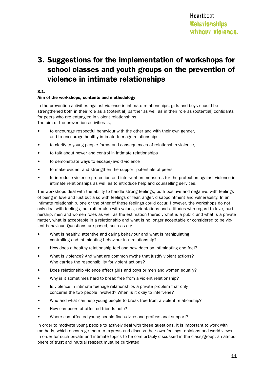# 3. Suggestions for the implementation of workshops for school classes and youth groups on the prevention of violence in intimate relationships

#### 3.1.

#### Aim of the workshops, contents and methodology

In the prevention activities against violence in intimate relationships, girls and boys should be strengthened both in their role as a (potential) partner as well as in their role as (potential) confidants for peers who are entangled in violent relationships.

The aim of the prevention activities is,

- to encourage respectful behaviour with the other and with their own gender, and to encourage healthy intimate teenage relationships,
- to clarify to young people forms and consequences of relationship violence,
- to talk about power and control in intimate relationships
- to demonstrate ways to escape/avoid violence
- to make evident and strengthen the support potentials of peers
- to introduce violence protection and intervention measures for the protection against violence in intimate relationships as well as to introduce help and counselling services.

The workshops deal with the ability to handle strong feelings, both positive and negative: with feelings of being in love and lust but also with feelings of fear, anger, disappointment and vulnerability. In an intimate relationship, one or the other of these feelings could occur. However, the workshops do not only deal with feelings, but rather also with values, orientations and attitudes with regard to love, partnership, men and women roles as well as the estimation thereof, what is a public and what is a private matter, what is acceptable in a relationship and what is no longer acceptable or considered to be violent behaviour. Questions are posed, such as e.g.

- What is healthy, attentive and caring behaviour and what is manipulating, controlling and intimidating behaviour in a relationship?
- How does a healthy relationship feel and how does an intimidating one feel?
- What is violence? And what are common myths that justify violent actions? Who carries the responsibility for violent actions?
- Does relationship violence affect girls and boys or men and women equally?
- Why is it sometimes hard to break free from a violent relationship?
- Is violence in intimate teenage relationships a private problem that only concerns the two people involved? When is it okay to intervene?
- Who and what can help young people to break free from a violent relationship?
- How can peers of affected friends help?
- Where can affected young people find advice and professional support?

In order to motivate young people to actively deal with these questions, it is important to work with methods, which encourage them to express and discuss their own feelings, opinions and world views. In order for such private and intimate topics to be comfortably discussed in the class/group, an atmosphere of trust and mutual respect must be cultivated.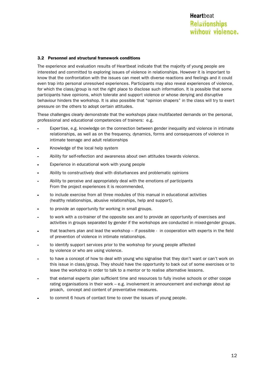#### 3.2 Personnel and structural framework conditions

The experience and evaluation results of Heartbeat indicate that the majority of young people are interested and committed to exploring issues of violence in relationships. However it is important to know that the confrontation with the issues can meet with diverse reactions and feelings and it could even trap into personal unresolved experiences. Participants may also reveal experiences of violence, for which the class/group is not the right place to disclose such information. It is possible that some participants have opinions, which tolerate and support violence or whose denying and disruptive behaviour hinders the workshop. It is also possible that "opinion shapers" in the class will try to exert pressure on the others to adopt certain attitudes.

These challenges clearly demonstrate that the workshops place multifaceted demands on the personal, professional and educational competencies of trainers: e.g.

- Expertise, e.g. knowledge on the connection between gender inequality and violence in intimate relationships, as well as on the frequency, dynamics, forms and consequences of violence in intimate teenage and adult relationships
- Knowledge of the local help system
- Ability for self-reflection and awareness about own attitudes towards violence.
- Experience in educational work with young people
- Ability to constructively deal with disturbances and problematic opinions
- Ability to perceive and appropriately deal with the emotions of participants From the project experiences it is recommended,
- to include exercise from all three modules of this manual in educational activities (healthy relationships, abusive relationships, help and support).
- to provide an opportunity for working in small groups.
- to work with a co-trainer of the opposite sex and to provide an opportunity of exercises and activities in groups separated by gender if the workshops are conducted in mixed-gender groups.
- that teachers plan and lead the workshop if possible in cooperation with experts in the field of prevention of violence in intimate relationships.
- to identify support services prior to the workshop for young people affected by violence or who are using violence.
- to have a concept of how to deal with young who signalise that they don't want or can't work on this issue in class/group. They should have the opportunity to back out of some exercises or to leave the workshop in order to talk to a mentor or to realise alternative lessons.
- that external experts plan sufficient time and resources to fully involve schools or other coope rating organisations in their work – e.g. involvement in announcement and exchange about ap proach, concept and content of preventative measures.
- to commit 6 hours of contact time to cover the issues of young people.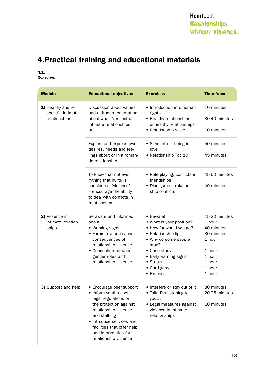# 4.Practical training and educational materials

#### 4.1. **Overview**

| <b>Module</b>                                            | <b>Educational objectives</b>                                                                                                                                                                                                                           | <b>Exercises</b>                                                                                                                                                                                           | <b>Time frame</b>                                                                                               |
|----------------------------------------------------------|---------------------------------------------------------------------------------------------------------------------------------------------------------------------------------------------------------------------------------------------------------|------------------------------------------------------------------------------------------------------------------------------------------------------------------------------------------------------------|-----------------------------------------------------------------------------------------------------------------|
| 1) Healthy and re-<br>spectful intimate<br>relationships | Discussion about values<br>and attitudes, orientation<br>about what "respectful<br>intimate relationships"<br>are                                                                                                                                       | • Introduction into human<br>rights<br>• Healthy relationships-<br>unhealthy relationships<br>• Relationship scale                                                                                         | 10 minutes<br>30-40 minutes<br>10 minutes                                                                       |
|                                                          | Explore and express own<br>desires, needs and fee-<br>lings about or in a roman-<br>tic relationship                                                                                                                                                    | • Silhouette – being in<br>love<br>• Relationship Top 10                                                                                                                                                   | 50 minutes<br>45 minutes                                                                                        |
|                                                          | To know that not eve-<br>rything that hurts is<br>considered "violence"<br>- encourage the ability<br>to deal with conflicts in<br>relationships                                                                                                        | • Role playing, conflicts in<br>friendships<br>• Dice game - relation<br>ship conflicts                                                                                                                    | 45-60 minutes<br>40 minutes                                                                                     |
| 2) Violence in<br>intimate relation-<br>ships            | Be aware and informed<br>about<br>• Warning signs<br>• Forms, dynamics and<br>consequences of<br>relationship violence<br>• Connection between<br>gender roles and<br>relationship violence                                                             | • Beware!<br>• What is your position?<br>• How far would you go?<br>• Relationship light<br>• Why do some people<br>stay?<br>• Case study<br>• Early warning signs<br>• Status<br>• Card game<br>• Excuses | 15-20 minutes<br>1 hour<br>40 minutes<br>30 minutes<br>1 hour<br>1 hour<br>1 hour<br>1 hour<br>1 hour<br>1 hour |
| 3) Support and help                                      | • Encourage peer support<br>• Inform youths about<br>legal regulations on<br>the protection against<br>relationship violence<br>and stalking<br>• Introduce services and<br>facilities that offer help<br>and intervention for<br>relationship violence | • Interfere or stay out of it<br>• Talk, I'm listening to<br>you<br>• Legal measures against<br>violence in intimate<br>relationships                                                                      | 30 minutes<br>20-25 minutes<br>10 minutes                                                                       |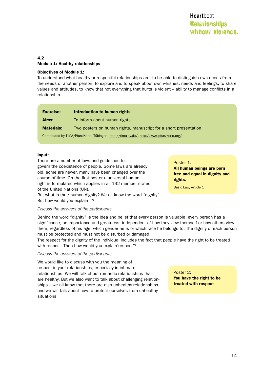#### 4.2 Module 1: Healthy relationships

#### Objectives of Module 1:

To understand what healthy or respectful relationships are, to be able to distinguish own needs from the needs of another person, to explore and to speak about own whishes, needs and feelings, to share values and attitudes, to know that not everything that hurts is violent – ability to manage conflicts in a relationship

| <b>Exercise:</b>                                                                         | Introduction to human rights                                     |
|------------------------------------------------------------------------------------------|------------------------------------------------------------------|
| Aims:                                                                                    | To inform about human rights                                     |
| <b>Materials:</b>                                                                        | Two posters on human rights, manuscript for a short presentation |
| Contributed by TIMA/PfunzKerle, Tübingen, http://tima-ev.de/, http://www.pfunzkerle.org/ |                                                                  |

#### Input:

There are a number of laws and guidelines to govern the coexistence of people. Some laws are already old, some are newer, many have been changed over the course of time. On the first poster a universal human right is formulated which applies in all 192 member states of the United Nations (UN). But what is that: human dignity? We all know the word "dignity".

But how would you explain it?

#### *Discuss the answers of the participants.*

Behind the word "dignity" is the idea and belief that every person is valuable, every person has a significance, an importance and greatness, independent of how they view themself or how others view them, regardless of his age, which gender he is or which race he belongs to. The dignity of each person must be protected and must not be disturbed or damaged.

The respect for the dignity of the individual includes the fact that people have the right to be treated with respect. Then how would you explain'respect'?

#### *Discuss the answers of the participants*

We would like to discuss with you the meaning of respect in your relationships, especially in intimate relationships. We will talk about romantic relationships that are healthy. But we also want to talk about challenging relationships – we all know that there are also unhealthy relationships and we will talk about how to protect ourselves from unhealthy situations.

Poster 2:

You have the right to be treated with respect

#### Poster 1:

All human beings are born free and equal in dignity and rights.

Basic Law, Article 1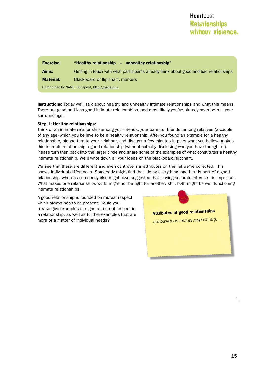| <b>Exercise:</b>                               | "Healthy relationship - unhealthy relationship"                                        |
|------------------------------------------------|----------------------------------------------------------------------------------------|
| Aims:                                          | Getting in touch with what participants already think about good and bad relationships |
| <b>Material:</b>                               | Blackboard or flip-chart, markers                                                      |
| Contributed by NANE, Budapest, http://nane.hu/ |                                                                                        |

**Instructions:** Today we'll talk about healthy and unhealthy intimate relationships and what this means. There are good and less good intimate relationships, and most likely you've already seen both in your surroundings.

#### Step 1: Healthy relationships:

Think of an intimate relationship among your friends, your parents' friends, among relatives (a couple of any age) which you believe to be a healthy relationship. After you found an example for a healthy relationship, please turn to your neighbor, and discuss a few minutes in pairs what you believe makes this intimate relationship a good relationship (without actually disclosing who you have thought of). Please turn then back into the larger circle and share some of the examples of what constitutes a healthy intimate relationship. We'll write down all your ideas on the blackboard/flipchart.

We see that there are different and even controversial attributes on the list we've collected. This shows individual differences. Somebody might find that 'doing everything together' is part of a good relationship, whereas somebody else might have suggested that 'having separate interests' is important. What makes one relationships work, might not be right for another, still, both might be well functioning intimate relationships.

A good relationship is founded on mutual respect which always has to be present. Could you please give examples of signs of mutual respect in a relationship, as well as further examples that are more of a matter of individual needs?

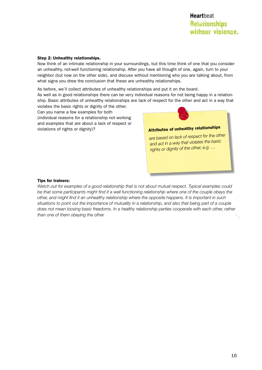#### Step 2: Unhealthy relationships.

Now think of an intimate relationship in your surroundings, but this time think of one that you consider an unhealthy, not-well functioning relationship. After you have all thought of one, again, turn to your neighbor (but now on the other side), and discuss without mentioning who you are talking about, from what signs you drew the conclusion that these are unhealthy relationships.

As before, we'll collect attributes of unhealthy relationships and put it on the board.

As well as in good relationships there can be very individual reasons for not being happy in a relationship. Basic attributes of unhealthy relationships are lack of respect for the other and act in a way that violates the basic rights or dignity of the other.

Can you name a few examples for both (individual reasons for a relationship not working and examples that are about a lack of respect or violations of rights or dignity)?



#### Tips for trainers:

*Watch out for examples of a good relationship that is not about mutual respect. Typical examples could*  be that some participants might find it a well functioning relationship where one of the couple obeys the *other, and might find it an unhealthy relationship where the opposite happens. It is important in such situations to point out the importance of mutuality in a relationship, and also that being part of a couple does not mean loosing basic freedoms. In a healthy relationship parties cooperate with each other, rather than one of them obeying the other.*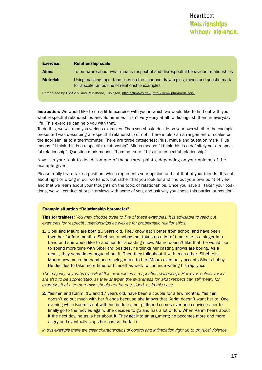| <b>Exercise:</b>                                                                                  | <b>Relationship scale</b>                                                                                                               |
|---------------------------------------------------------------------------------------------------|-----------------------------------------------------------------------------------------------------------------------------------------|
| Aims:                                                                                             | To be aware about what means respectful and disrespectful behaviour irelationships                                                      |
| <b>Material:</b>                                                                                  | Using masking tape, tape lines on the floor and draw a plus, minus and questio mark<br>for a scale; an outline of relationship examples |
| Contributed by TIMA e.V. and PfunzKerle, Tübingen, http://tima-ev.de/, http://www.pfunzkerle.org/ |                                                                                                                                         |

Instruction: We would like to do a little exercise with you in which we would like to find out with you what respectful relationships are. Sometimes it isn't very easy at all to distinguish them in everyday life. This exercise can help you with that.

To do this, we will read you various examples. Then you should decide on your own whether the example presented was describing a respectful relationship or not. There is also an arrangement of scales on the floor similar to a thermometer. There are three categories: Plus, minus and question mark. Plus means: "I think this is a respectful relationship". Minus means: "I think this is a definitely not a respectful relationship". Question mark means: "I am not sure if this is a respectful relationship".

Now it is your task to decide on one of these three points, depending on your opinion of the example given.

Please really try to take a position, which represents your opinion and not that of your friends. It's not about right or wrong in our workshop, but rather that you look for and find out your own point of view, and that we learn about your thoughts on the topic of relationships. Once you have all taken your positions, we will conduct short interviews with some of you, and ask why you chose this particular position.

#### Example situation "Relationship barometer":

Tips for trainers: *You may choose three to five of these examples. It is advisable to read out examples for respectful relationships as well as for problematic relationships.*

**1.** Sibel and Mauro are both 16 years old. They know each other from school and have been together for four months. Sibel has a hobby that takes up a lot of time; she is a singer in a band and she would like to audition for a casting show. Mauro doesn't like that; he would like to spend more time with Sibel and besides, he thinks her casting shows are boring. As a result, they sometimes argue about it. Then they talk about it with each other. Sibel tells Mauro how much the band and singing mean to her. Mauro eventually accepts Sibels hobby. He decides to take more time for himself as well, to continue writing his rap lyrics.

*The majority of youths classified this example as a respectful relationship. However, critical voices are also to be appreciated, as they sharpen the awareness for what respect can still mean: for example, that a compromise should not be one-sided, as in this case.*

**2.** Yasimin and Karim, 16 and 17 years old, have been a couple for a few months. Yasimin doesn't go out much with her friends because she knows that Karim doesn't want her to. One evening while Karim is out with his buddies, her girlfriend comes over and convinces her to finally go to the movies again. She decides to go and has a lot of fun. When Karim hears about it the next day, he asks her about it. They get into an argument; he becomes more and more angry and eventually slaps her across the face.

*In this example there are clear characteristics of control and intimidation right up to physical violence.*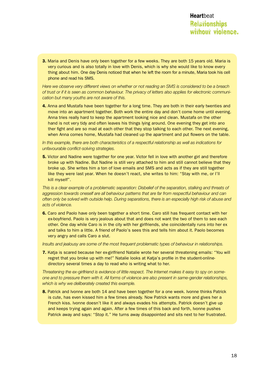**3.** Maria and Denis have only been together for a few weeks. They are both 15 years old. Maria is very curious and is also totally in love with Denis, which is why she would like to know every thing about him. One day Denis noticed that when he left the room for a minute, Maria took his cell phone and read his SMS.

*Here we observe very different views on whether or not reading an SMS is considered to be a breach of trust or if it is seen as common behaviour. The privacy of letters also applies for electronic communication but many youths are not aware of this.*

4. Anna and Mustafa have been together for a long time. They are both in their early twenties and move into an apartment together. Both work the entire day and don't come home until evening. Anna tries really hard to keep the apartment looking nice and clean. Mustafa on the other hand is not very tidy and often leaves his things lying around. One evening they get into ano ther fight and are so mad at each other that they stop talking to each other. The next evening, when Anna comes home, Mustafa had cleaned up the apartment and put flowers on the table.

#### *In this example, there are both characteristics of a respectful relationship as well as indications for unfavourable conflict-solving strategies.*

**5.** Victor and Nadine were together for one year. Victor fell in love with another girl and therefore broke up with Nadine. But Nadine is still very attached to him and still cannot believe that they broke up. She writes him a ton of love emails and SMS and acts as if they are still together like they were last year. When he doesn't react, she writes to him: "Stay with me, or I'll kill myself".

*This is a clear example of a problematic separation: Disbelief of the separation, stalking and threats of aggression towards oneself are all behaviour patterns that are far from respectful behaviour and can often only be solved with outside help. During separations, there is an especially high risk of abuse and acts of violence.*

6. Caro and Paolo have only been together a short time. Caro still has frequent contact with her ex-boyfriend. Paolo is very jealous about that and does not want the two of them to see each other. One day while Caro is in the city with her girlfriends, she coincidentally runs into her ex and talks to him a little. A friend of Paolo's sees this and tells him about it. Paolo becomes very angry and calls Caro a slut.

*Insults and jealousy are some of the most frequent problematic types of behaviour in relationships.*

**7.** Katja is scared because her ex-girlfriend Natalie wrote her several threatening emails: "You will regret that you broke up with me!" Natalie looks at Katja's profile in the student-onlinedirectory several times a day to read who is writing what to her.

*Threatening the ex-girlfriend is evidence of little respect. The Internet makes it easy to spy on someone and to pressure them with it. All forms of violence are also present in same-gender relationships, which is why we deliberately created this example.* 

8. Patrick and Ivonne are both 14 and have been together for a one week. Ivonne thinks Patrick is cute, has even kissed him a few times already. Now Patrick wants more and gives her a French kiss. Ivonne doesn't like it and always evades his attempts. Patrick doesn't give up and keeps trying again and again. After a few times of this back and forth, Ivonne pushes Patrick away and says: "Stop it." He turns away disappointed and sits next to her frustrated.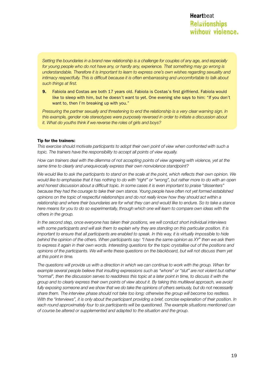*Setting the boundaries in a brand new relationship is a challenge for couples of any age, and especially for young people who do not have any, or hardly any, experience. That something may go wrong is understandable. Therefore it is important to learn to express one's own wishes regarding sexuality and intimacy respectfully. This is difficult because it is often embarrassing and uncomfortable to talk about such things at first.*

9. Fabiola and Costas are both 17 years old. Fabiola is Costas's first girlfriend. Fabiola would like to sleep with him, but he doesn't want to yet. One evening she says to him: "If you don't want to, then I'm breaking up with you."

*Pressuring the partner sexually and threatening to end the relationship is a very clear warning sign. In this example, gender role stereotypes were purposely reversed in order to initiate a discussion about it. What do youths think if we reverse the roles of girls and boys?*

#### Tip for the trainers:

*This exercise should motivate participants to adopt their own point of view when confronted with such a topic. The trainers have the responsibility to accept all points of view equally.*

*How can trainers deal with the dilemma of not accepting points of view agreeing with violence, yet at the same time to clearly and unequivocally express their own nonviolence standpoint?* 

*We would like to ask the participants to stand on the scale at the point, which reflects their own opinion. We would like to emphasise that it has nothing to do with "right" or "wrong", but rather more to do with an open and honest discussion about a difficult topic. In some cases it is even important to praise "dissenters" because they had the courage to take their own stance. Young people have often not yet formed established opinions on the topic of respectful relationships and do not really know how they should act within a relationship and where their boundaries are for what they can and would like to endure. So to take a stance here means for you to do so experimentally, through which one will learn to compare own ideas with the others in the group.*

*In the second step, once everyone has taken their positions, we will conduct short individual interviews with some participants and will ask them to explain why they are standing on this particular position. It is important to ensure that all participants are enabled to speak. In this way, it is virtually impossible to hide behind the opinion of the others. When participants say: "I have the same opinion as XY" then we ask them to express it again in their own words. Interesting questions for the topic crystallise out of the positions and opinions of the participants. We will write these questions on the blackboard, but will not discuss them yet at this point in time.*

*The questions will provide us with a direction in which we can continue to work with the group. When for*  example several people believe that insulting expressions such as "whore" or "slut" are not violent but rather *"normal", then the discussion serves to readdress this topic at a later point in time, to discuss it with the group and to clearly express their own points of view about it. By taking this multilevel approach, we avoid*  fully exposing someone and we show that we do take the opinions of others seriously, but do not necessarily *share them. The interview phase should not take too long; otherwise the group will become too restless.*  With the "interviews", it is only about the participant providing a brief, concise explanation of their position. In *each round approximately four to six participants will be questioned. The example situations mentioned can of course be altered or supplemented and adapted to the situation and the group.*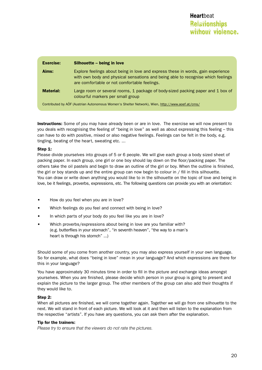| <b>Exercise:</b>                                                                                | Silhouette – being in love                                                                                                                                                                                           |
|-------------------------------------------------------------------------------------------------|----------------------------------------------------------------------------------------------------------------------------------------------------------------------------------------------------------------------|
| Aims:                                                                                           | Explore feelings about being in love and express these in words, gain experience<br>with own body and physical sensations and being able to recognise which feelings<br>are comfortable or not comfortable feelings. |
| <b>Material:</b>                                                                                | Large room or several rooms, 1 package of body-sized packing paper and 1 box of<br>colourful markers per small group                                                                                                 |
| Contributed by AÖF (Austrian Autonomous Women's Shelter Network), Wien, http://www.aoef.at/cms/ |                                                                                                                                                                                                                      |

Instructions: Some of you may have already been or are in love. The exercise we will now present to you deals with recognising the feeling of "being in love" as well as about expressing this feeling – this can have to do with positive, mixed or also negative feelings. Feelings can be felt in the body, e.g. tingling, beating of the heart, sweating etc. ...

#### Step 1:

Please divide yourselves into groups of 5 or 6 people. We will give each group a body sized sheet of packing paper. In each group, one girl or one boy should lay down on the floor/packing paper. The others take the oil pastels and begin to draw an outline of the girl or boy. When the outline is finished, the girl or boy stands up and the entire group can now begin to colour in / fill in this silhouette. You can draw or write down anything you would like to in the silhouette on the topic of love and being in love, be it feelings, proverbs, expressions, etc. The following questions can provide you with an orientation:

- How do you feel when you are in love?
- Which feelings do you feel and connect with being in love?
- In which parts of your body do you feel like you are in love?
- Which proverbs/expressions about being in love are you familiar with? (e.g. butterflies in your stomach", "in seventh heaven", "the way to a man's heart is through his stomch" ...)

Should some of you come from another country, you may also express yourself in your own language. So for example, what does "being in love" mean in your language? And which expressions are there for this in your language?

You have approximately 30 minutes time in order to fill in the picture and exchange ideas amongst yourselves. When you are finished, please decide which person in your group is going to present and explain the picture to the larger group. The other members of the group can also add their thoughts if they would like to.

#### Step 2:

When all pictures are finished, we will come together again. Together we will go from one silhouette to the next. We will stand in front of each picture. We will look at it and then will listen to the explanation from the respective "artists". If you have any questions, you can ask them after the explanation.

#### Tip for the trainers:

*Please try to ensure that the viewers do not rate the pictures.*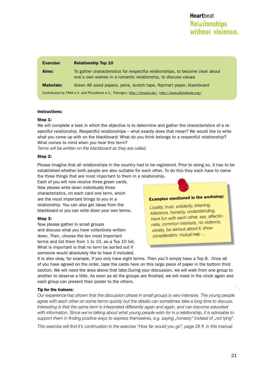| <b>Exercise:</b>                                                                                       | <b>Relationship Top 10</b>                                                                                                                      |
|--------------------------------------------------------------------------------------------------------|-------------------------------------------------------------------------------------------------------------------------------------------------|
| Aims:                                                                                                  | To gather characteristics for respectful relationships, to become clear about<br>one's own wishes in a romantic relationship, to discuss values |
| <b>Materials:</b>                                                                                      | Green A6 sized papers, pens, scotch tape, flipchart paper, blackboard                                                                           |
| Contributed by TIMA e.V. and PfunzKerle e.V., Tübingen, http://tima-ev.de/, http://www.pfunzkerle.org/ |                                                                                                                                                 |

#### Instructions:

#### Step 1:

We will complete a task in which the objective is to determine and gather the characteristics of a respectful relationship. Respectful relationships – what exactly does that mean? We would like to write what you come up with on the blackboard: What do you think belongs to a respectful relationship? What comes to mind when you hear this term?

*Terms will be written on the blackboard as they are called.*

#### Step 2:

Please imagine that all relationships in the country had to be registered. Prior to doing so, it has to be established whether both people are also suitable for each other. To do this they each have to name the three things that are most important to them in a relationship.

Each of you will now receive three green cards. Now please write down individually three characteristics, on each card one term, which are the most important things to you in a relationship. You can also get ideas from the blackboard or you can write down your own terms.

#### Step 3:

Now please gather in small groups and discuss what you have collectively written down. Then, choose the ten most important terms and list them from 1 to 10, as a Top 10 list. What is important is that no term be sorted out if someone would absolutely like to have it included.



It is also okay, for example, if you only have eight terms. Then you'll simply have a Top 8. Once all of you have agreed on the order, tape the cards here on this large piece of paper in the bottom third section. We will need the area above that later.During your discussion, we will walk from one group to another to observe a little. As soon as all the groups are finished, we will meet in the circle again and each group can present their poster to the others.

#### Tip for the trainers:

*Our experience has shown that the discussion phase in small groups is very intensive. The young people agree with each other on some terms quickly but the details can sometimes take a long time to discuss. Interesting is that the same term is interpreted differently again and again, and can become saturated with information. Since we're talking about what young people wish for in a relationship, it is advisable to support them in finding positive ways to express themselves, e.g. saying "honesty" instead of "not lying".*

*This exercise will find it's continuation in the exercise "How far would you go", page 29 ff. in this manual.*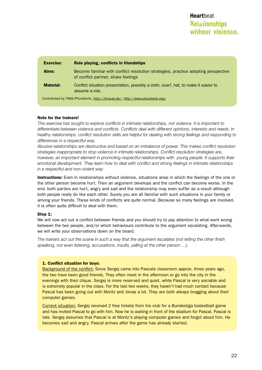| <b>Exercise:</b>                                                               | Role playing, conflicts in friendships                                                                                    |
|--------------------------------------------------------------------------------|---------------------------------------------------------------------------------------------------------------------------|
| Aims:                                                                          | Become familiar with conflict resolution strategies, practice adopting perspective<br>of conflict partner, share feelings |
| <b>Material:</b>                                                               | Conflict situation presentation, possibly a cloth, scarf, hat, to make it easier to<br>assume a role.                     |
| Contributed by TIMA/PfunzKerle, http://tima-ev.de/, http://www.pfunzkerle.org/ |                                                                                                                           |

#### Note for the trainers!

*This exercise has sought to explore conflicts in intimate relationships, not violence. It is important to differentiate between violence and conflicts. Conflicts deal with different opinions, interests and needs. In healthy relationships, conflict resolution skills are helpful for dealing with strong feelings and responding to differences in a respectful way.* 

*Abusive relationships are destructive and based on an imbalance of power. This makes conflict resolution strategies inappropriate to stop violence in intimate relationships. Conflict resolution strategies are, however, an important element in promoting respectful relationships with young people. It supports their emotional development. They learn how to deal with conflict and strong feelings in intimate relationships in a respectful and non-violent way*

**Instructions:** Even in relationships without violence, situations arise in which the feelings of the one or the other person become hurt. Then an argument develops and the conflict can become worse. In the end, both parties are hurt, angry and sad and the relationship may even suffer as a result although both people really do like each other. Surely you are all familiar with such situations in your family or among your friends. These kinds of conflicts are quite normal. Because so many feelings are involved, it is often quite difficult to deal with them.

#### Step 1:

We will now act out a conflict between friends and you should try to pay attention to what went wrong between the two people, and/or which behaviours contribute to the argument escalating. Afterwards, we will write your observations down on the board.

*The trainers act out the scene in such a way that the argument escalates (not letting the other finish speaking, not even listening, accusations, insults, yelling at the other person …).*

#### 1. Conflict situation for boys:

Background of the conflict: Since Sergej came into Pascals classroom approx. three years ago, the two have been good friends. They often meet in the afternoon or go into the city in the evenings with their clique. Sergej is more reserved and quiet, while Pascal is very sociable and is extremely popular in the class. For the last two weeks, they haven't had much contact because Pascal has been going out with Moritz and Jonas a lot. They are both always bragging about their computer games.

Current situation: Sergej received 2 free tickets from his club for a Bundesliga basketball game and has invited Pascal to go with him. Now he is waiting in front of the stadium for Pascal. Pascal is late. Sergej assumes that Pascal is at Moritz's playing computer games and forgot about him. He becomes sad and angry. Pascal arrives after the game has already started.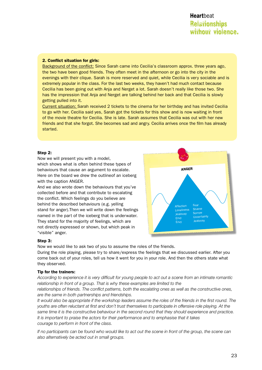# **Relationships** without violence. **Heart**beat

#### 2. Conflict situation for girls:

Background of the conflict: Since Sarah came into Cecilia's classroom approx. three years ago, the two have been good friends. They often meet in the afternoon or go into the city in the evenings with their clique. Sarah is more reserved and quiet, while Cecilia is very sociable and is extremely popular in the class. For the last two weeks, they haven't had much contact because Cecilia has been going out with Anja and Nerget a lot. Sarah doesn't really like those two. She has the impression that Anja and Nerget are talking behind her back and that Cecilia is slowly getting pulled into it.

Current situation: Sarah received 2 tickets to the cinema for her birthday and has invited Cecilia to go with her. Cecilia said yes, Sarah got the tickets for this show and is now waiting in front of the movie theatre for Cecilia. She is late. Sarah assumes that Cecilia was out with her new friends and that she forgot. She becomes sad and angry. Cecilia arrives once the film has already started.

#### Step 2:

Now we will present you with a model, which shows what is often behind these types of behaviours that cause an argument to escalate. Here on the board we drew the outlineof an iceberg with the caption ANGER.

And we also wrote down the behaviours that you've collected before and that contribute to escalating the conflict. Which feelings do you believe are behind the described behaviours (e.g. yelling stand for anger).Then we will write down the feelings named in the part of the iceberg that is underwater. They stand for the majority of feelings, which are not directly expressed or shown, but which peak in "visible" anger.



#### Step 3:

Now we would like to ask two of you to assume the roles of the friends. During the role playing, please try to share/express the feelings that we discussed earlier. After you come back out of your roles, tell us how it went for you in your role. And then the others state what they observed.

#### Tip for the trainers:

*According to experience it is very difficult for young people to act out a scene from an intimate romantic relationship in front of a group. That is why these examples are limited to the* 

*relationships of friends. The conflict patterns, both the escalating ones as well as the constructive ones, are the same in both partnerships and friendships.*

*It would also be appropriate if the workshop leaders assume the roles of the friends in the first round. The youths are often reluctant at first and don't trust themselves to participate in offensive role playing. At the same time it is the constructive behaviour in the second round that they should experience and practice. It is important to praise the actors for their performance and to emphasise that it takes courage to perform in front of the class.*

*If no participants can be found who would like to act out the scene in front of the group, the scene can also alternatively be acted out in small groups.*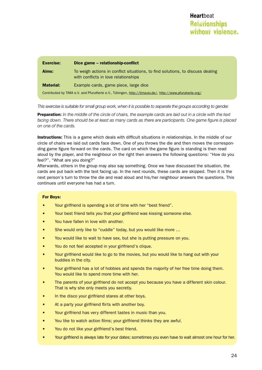| <b>Exercise:</b> | Dice game - relationship-conflict                                                                                      |
|------------------|------------------------------------------------------------------------------------------------------------------------|
| Aims:            | To weigh actions in conflict situations, to find solutions, to discuss dealing<br>with conflicts in love relationships |
| <b>Material:</b> | Example cards, game piece, large dice                                                                                  |
|                  | Contributed by TIMA e.V. and PfunzKerle e.V., Tübingen, http://tima-ev.de/, http://www.pfunzkerle.org/                 |

*This exercise is suitable for small group work, when it is possible to separate the groups according to gender.*

Preparation: *In the middle of the circle of chairs, the example cards are laid out in a circle with the text*  facing down. There should be at least as many cards as there are participants. One game figure is placed *on one of the cards.*

**Instructions:** This is a game which deals with difficult situations in relationships. In the middle of our circle of chairs we laid out cards face down. One of you throws the die and then moves the corresponding game figure forward on the cards. The card on which the game figure is standing is then read aloud by the player, and the neighbour on the right then answers the following questions: "How do you feel?", "What are you doing?"

Afterwards, others in the group may also say something. Once we have discussed the situation, the cards are put back with the text facing up. In the next rounds, these cards are skipped. Then it is the next person's turn to throw the die and read aloud and his/her neighbour answers the questions. This continues until everyone has had a turn.

#### For Boys:

- Your girlfriend is spending a lot of time with her "best friend".
- Your best friend tells you that your girlfriend was kissing someone else.
- You have fallen in love with another.
- She would only like to "cuddle" today, but you would like more ...
- You would like to wait to have sex, but she is putting pressure on you.
- You do not feel accepted in your girlfriend's clique.
- • Your girlfriend would like to go to the movies, but you would like to hang out with your buddies in the city.
- Your girlfriend has a lot of hobbies and spends the majority of her free time doing them. You would like to spend more time with her.
- The parents of your girlfriend do not accept you because you have a different skin colour. That is why she only meets you secretly.
- In the disco your girlfriend stares at other boys.
- At a party your girlfriend flirts with another boy.
- Your girlfriend has very different tastes in music than you.
- You like to watch action films; your girlfriend thinks they are awful.
- • You do not like your girlfriend's best friend.
- Your girlfriend is always late for your dates; sometimes you even have to wait almost one hour for her.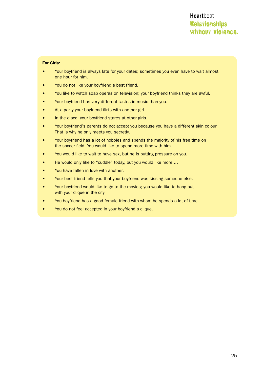#### For Girls:

- Your boyfriend is always late for your dates; sometimes you even have to wait almost one hour for him.
- You do not like your boyfriend's best friend.
- You like to watch soap operas on television; your boyfriend thinks they are awful.
- • Your boyfriend has very different tastes in music than you.
- At a party your boyfriend flirts with another girl.
- In the disco, your boyfriend stares at other girls.
- Your boyfriend's parents do not accept you because you have a different skin colour. That is why he only meets you secretly.
- Your boyfriend has a lot of hobbies and spends the majority of his free time on the soccer field. You would like to spend more time with him.
- You would like to wait to have sex, but he is putting pressure on you.
- He would only like to "cuddle" today, but you would like more ...
- You have fallen in love with another.
- Your best friend tells you that your boyfriend was kissing someone else.
- • Your boyfriend would like to go to the movies; you would like to hang out with your clique in the city.
- You boyfriend has a good female friend with whom he spends a lot of time.
- You do not feel accepted in your boyfriend's clique.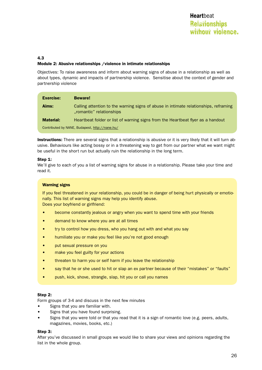#### 4.3 Module 2: Abusive relationships /violence in intimate relationships

Objectives: To raise awareness and inform about warning signs of abuse in a relationship as well as about types, dynamic and impacts of partnership violence. Sensitise about the context of gender and partnership violence

| <b>Exercise:</b>                               | <b>Beware!</b>                                                                                                   |
|------------------------------------------------|------------------------------------------------------------------------------------------------------------------|
| Aims:                                          | Calling attention to the warning signs of abuse in intimate relationships, reframing<br>.romantic" relationships |
| <b>Material:</b>                               | Heartbeat folder or list of warning signs from the Heartbeat flyer as a handout                                  |
| Contributed by NANE, Budapest, http://nane.hu/ |                                                                                                                  |

Instructions: There are several signs that a relationship is abusive or it is very likely that it will turn abusive. Behaviours like acting bossy or in a threatening way to get from our partner what we want might be useful in the short run but actually ruin the relationship in the long term.

#### Step 1:

We'll give to each of you a list of warning signs for abuse in a relationship. Please take your time and read it.

#### **Warning signs**

If you feel threatened in your relationship, you could be in danger of being hurt physically or emotionally. This list of warning signs may help you identify abuse. Does your boyfriend or girlfriend:

- become constantly jealous or angry when you want to spend time with your friends
- demand to know where you are at all times
- try to control how you dress, who you hang out with and what you say
- humiliate you or make you feel like you're not good enough
- put sexual pressure on you
- make you feel guilty for your actions
- threaten to harm you or self harm if you leave the relationship
- say that he or she used to hit or slap an ex partner because of their "mistakes" or "faults"
- push, kick, shove, strangle, slap, hit you or call you names

#### Step 2:

Form groups of 3-4 and discuss in the next few minutes

- Signs that you are familiar with.
- Signs that you have found surprising.
- Signs that you were told or that you read that it is a sign of romantic love (e.g. peers, adults, magazines, movies, books, etc.)

#### Step 3:

After you've discussed in small groups we would like to share your views and opinions regarding the list in the whole group.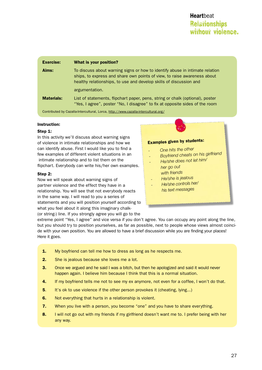| <b>Exercise:</b>                                                                   | What is your position?                                                                                                                                                                                                         |
|------------------------------------------------------------------------------------|--------------------------------------------------------------------------------------------------------------------------------------------------------------------------------------------------------------------------------|
| Aims:                                                                              | To discuss about warning signs or how to identify abuse in intimate relation<br>ships, to express and share own points of view, to raise awareness about<br>healthy relationships, to use and develop skills of discussion and |
|                                                                                    | argumentation.                                                                                                                                                                                                                 |
| <b>Materials:</b>                                                                  | List of statements, flipchart paper, pens, string or chalk (optional), poster<br>"Yes, I agree", poster "No, I disagree" to fix at opposite sides of the room                                                                  |
| Contributed by Cazalla-Intercultural, Lorca, http://www.cazalla-intercultural.org/ |                                                                                                                                                                                                                                |

#### Instruction:

#### Step 1:

In this activity we'll discuss about warning signs of violence in intimate relationships and how we can identify abuse. First I would like you to find a few examples of different violent situations in an intimate relationship and to list them on the flipchart. Everybody can write his/her own examples.

#### Step 2:

Now we will speak about warning signs of partner violence and the effect they have in a relationship. You will see that not everybody reacts in the same way. I will read to you a series of statements and you will position yourself according to what you feel about it along this imaginary chalk- (or string-) line. If you strongly agree you will go to the

#### Examples given by students:

- *One hits the other*
- *Boyfriend cheats on his girlfriend*
- *- He/she does not let him/ her go ou<sup>t</sup> with friends*
- *-He/she is jealous*
- *He/she controls her/*
- *his text messages*

extreme point "Yes, I agree" and vice versa if you don't agree. You can occupy any point along the line, but you should try to position yourselves, as far as possible, next to people whose views almost coincide with your own position. You are allowed to have a brief discussion while you are finding your places! Here it goes.

- **1.** My boyfriend can tell me how to dress as long as he respects me.
- **2.** She is jealous because she loves me a lot.
- **3.** Once we argued and he said I was a bitch, but then he apologized and said it would never happen again. I believe him because I think that this is a normal situation.
- 4. If my boyfriend tells me not to see my ex anymore, not even for a coffee, I won't do that.
- **5.** It's ok to use violence if the other person provokes it (cheating, lying...)
- 6. Not everything that hurts in a relationship is violent.
- **7.** When you live with a person, you become "one" and you have to share everything.
- 8. I will not go out with my friends if my girlfriend doesn't want me to. I prefer being with her any way.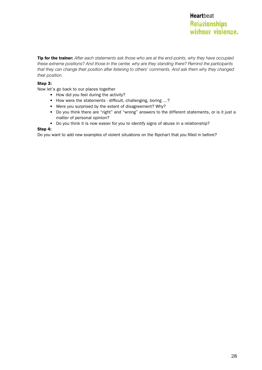Tip for the trainer: *After each statements ask those who are at the end-points, why they have occupied these extreme positions? And those in the center, why are they standing there? Remind the participants that they can change their position after listening to others' comments. And ask them why they changed their position.* 

#### Step 3:

Now let's go back to our places together

- • How did you feel during the activity?
- How were the statements difficult, challenging, boring ...?
- Were you surprised by the extent of disagreement? Why?
- Do you think there are "right" and "wrong" answers to the different statements, or is it just a matter of personal opinion?
- Do you think it is now easier for you to identify signs of abuse in a relationship?

#### Step 4:

Do you want to add new examples of violent situations on the flipchart that you filled in before?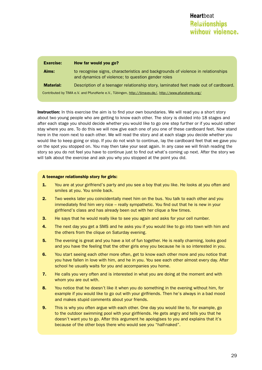| <b>Exercise:</b>                                                                                       | How far would you go?                                                                                                                  |
|--------------------------------------------------------------------------------------------------------|----------------------------------------------------------------------------------------------------------------------------------------|
| Aims:                                                                                                  | to recognise signs, characteristics and backgrounds of violence in relationships<br>and dynamics of violence; to question gender roles |
| <b>Material:</b>                                                                                       | Description of a teenager relationship story, laminated feet made out of cardboard.                                                    |
| Contributed by TIMA e.V. and PfunzKerle e.V., Tübingen, http://tima-ev.de/, http://www.pfunzkerle.org/ |                                                                                                                                        |

**Instruction:** In this exercise the aim is to find your own boundaries. We will read you a short story about two young people who are getting to know each other. The story is divided into 18 stages and after each stage you should decide whether you would like to go one step further or if you would rather stay where you are. To do this we will now give each one of you one of these cardboard feet. Now stand here in the room next to each other. We will read the story and at each stage you decide whether you would like to keep going or stop. If you do not wish to continue, lay the cardboard feet that we gave you on the spot you stopped on. You may then take your seat again. In any case we will finish reading the story so you do not feel you have to continue just to find out what's coming up next. After the story we will talk about the exercise and ask you why you stopped at the point you did.

#### A teenager relationship story for girls:

- 1. You are at your girlfriend's party and you see a boy that you like. He looks at you often and smiles at you. You smile back.
- **2.** Two weeks later you coincidentally meet him on the bus. You talk to each other and you immediately find him very nice – really sympathetic. You find out that he is new in your girlfriend's class and has already been out with her clique a few times.
- 3. He says that he would really like to see you again and asks for your cell number.
- 4. The next day you get a SMS and he asks you if you would like to go into town with him and the others from the clique on Saturday evening.
- **5.** The evening is great and you have a lot of fun together. He is really charming, looks good and you have the feeling that the other girls envy you because he is so interested in you.
- 6. You start seeing each other more often, get to know each other more and you notice that you have fallen in love with him, and he in you. You see each other almost every day. After school he usually waits for you and accompanies you home.
- **7.** He calls you very often and is interested in what you are doing at the moment and with whom you are out with.
- 8. You notice that he doesn't like it when you do something in the evening without him, for example if you would like to go out with your girlfriends. Then he's always in a bad mood and makes stupid comments about your friends.
- **9.** This is why you often argue with each other. One day you would like to, for example, go to the outdoor swimming pool with your girlfriends. He gets angry and tells you that he doesn't want you to go. After this argument he apologises to you and explains that it's because of the other boys there who would see you "half-naked".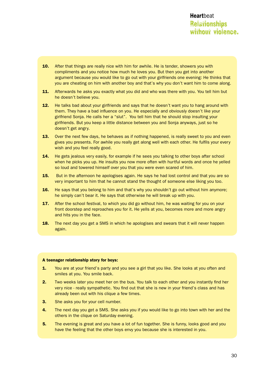# **Relationships** without violence. **Heart**beat

- **10.** After that things are really nice with him for awhile. He is tender, showers you with compliments and you notice how much he loves you. But then you get into another argument because you would like to go out with your girlfriends one evening: He thinks that you are cheating on him with another boy and that's why you don't want him to come along.
- 11. Afterwards he asks you exactly what you did and who was there with you. You tell him but he doesn't believe you.
- **12.** He talks bad about your girlfriends and says that he doesn't want you to hang around with them. They have a bad influence on you. He especially and obviously doesn't like your girlfriend Sonja. He calls her a "slut". You tell him that he should stop insulting your girlfriends. But you keep a little distance between you and Sonja anyways, just so he doesn't get angry.
- **13.** Over the next few days, he behaves as if nothing happened, is really sweet to you and even gives you presents. For awhile you really get along well with each other. He fulfils your every wish and you feel really good.
- **14.** He gets jealous very easily, for example if he sees you talking to other boys after school when he picks you up. He insults you now more often with hurtful words and once he yelled so loud and towered himself over you that you were even scared of him.
- **15.** But in the afternoon he apologises again. He says he had lost control and that you are so very important to him that he cannot stand the thought of someone else liking you too.
- 16. He says that you belong to him and that's why you shouldn't go out without him anymore; he simply can't bear it. He says that otherwise he will break up with you.
- **17.** After the school festival, to which you did go without him, he was waiting for you on your front doorstep and reproaches you for it. He yells at you, becomes more and more angry and hits you in the face.
- **18.** The next day you get a SMS in which he apologises and swears that it will never happen again.

#### A teenager relationship story for boys:

- **1.** You are at your friend's party and you see a girl that you like. She looks at you often and smiles at you. You smile back.
- 2. Two weeks later you meet her on the bus. You talk to each other and you instantly find her very nice - really sympathetic. You find out that she is new in your friend's class and has already been out with his clique a few times.
- **3.** She asks you for your cell number.
- 4. The next day you get a SMS. She asks you if you would like to go into town with her and the others in the clique on Saturday evening.
- **5.** The evening is great and you have a lot of fun together. She is funny, looks good and you have the feeling that the other boys envy you because she is interested in you.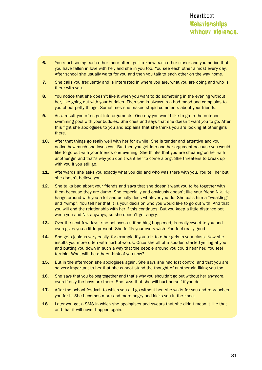- 6. You start seeing each other more often, get to know each other closer and you notice that you have fallen in love with her, and she in you too. You see each other almost every day. After school she usually waits for you and then you talk to each other on the way home.
- 7. She calls you frequently and is interested in where you are, what you are doing and who is there with you.
- 8. You notice that she doesn't like it when you want to do something in the evening without her, like going out with your buddies. Then she is always in a bad mood and complains to you about petty things. Sometimes she makes stupid comments about your friends.
- **9.** As a result you often get into arguments. One day you would like to go to the outdoor swimming pool with your buddies. She cries and says that she doesn't want you to go. After this fight she apologises to you and explains that she thinks you are looking at other girls there.
- **10.** After that things go really well with her for awhile. She is tender and attentive and you notice how much she loves you. But then you get into another argument because you would like to go out with your friends one evening. She thinks that you are cheating on her with another girl and that's why you don't want her to come along. She threatens to break up with you if you still go.
- 11. Afterwards she asks you exactly what you did and who was there with you. You tell her but she doesn't believe you.
- **12.** She talks bad about your friends and says that she doesn't want you to be together with them because they are dumb. She especially and obviously doesn't like your friend Nik. He hangs around with you a lot and usually does whatever you do. She calls him a "weakling" and "wimp". You tell her that it is your decision who you would like to go out with. And that you will end the relationship with her if this continues. But you keep a little distance bet ween you and Nik anyways, so she doesn't get angry.
- **13.** Over the next few days, she behaves as if nothing happened, is really sweet to you and even gives you a little present. She fulfils your every wish. You feel really good.
- **14.** She gets jealous very easily, for example if you talk to other girls in your class. Now she insults you more often with hurtful words. Once she all of a sudden started yelling at you and putting you down in such a way that the people around you could hear her. You feel terrible. What will the others think of you now?
- **15.** But in the afternoon she apologises again. She says she had lost control and that you are so very important to her that she cannot stand the thought of another girl liking you too.
- 16. She says that you belong together and that's why you shouldn't go out without her anymore, even if only the boys are there. She says that she will hurt herself if you do.
- **17.** After the school festival, to which you did go without her, she waits for you and reproaches you for it. She becomes more and more angry and kicks you in the knee.
- **18.** Later you get a SMS in which she apologises and swears that she didn't mean it like that and that it will never happen again.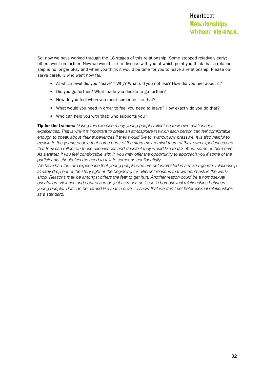So, now we have worked through the 18 stages of this relationship. Some stopped relatively early; others went on further. Now we would like to discuss with you at which point you think that a relationship is no longer okay and when you think it would be time for you to leave a relationship. Please observe carefully who went how far.

- At which level did you "leave"? Why? What did you not like? How did you feel about it?
- Did you go further? What made you decide to go further?
- How do you feel when you meet someone like that?
- What would you need in order to feel you need to leave? How exactly do you do that?
- Who can help you with that; who supports you?

Tip for the trainers: *During this exercise many young people reflect on their own relationship experiences. That is why it is important to create an atmosphere in which each person can feel comfortable enough to speak about their experiences if they would like to, without any pressure. It is also helpful to explain to the young people that some parts of the story may remind them of their own experiences and that they can reflect on those experiences and decide if they would like to talk about some of them here. As a trainer, if you feel comfortable with it, you may offer the opportunity to approach you if some of the participants should feel the need to talk to someone confidentially.*

We have had the rare experience that young people who are not interested in a mixed-gender relationship *already drop out of the story right at the beginning for different reasons that we don't ask in the workshop. Reasons may be amongst others the fear to get hurt. Another reason could be a homosexual orientation. Violence and control can be just as much an issue in homosexual relationships between young people. This can be named like that in order to show that we don't set heterosexual relationships as a standard.*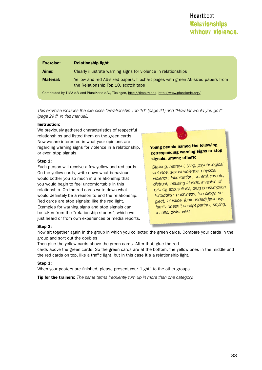# **Relationships** without violence. **Heart**beat

| Exercise:                                                                                             | <b>Relationship light</b>                                                                                               |
|-------------------------------------------------------------------------------------------------------|-------------------------------------------------------------------------------------------------------------------------|
| Aims:                                                                                                 | Clearly illustrate warning signs for violence in relationships                                                          |
| <b>Material:</b>                                                                                      | Yellow and red A6-sized papers, flipchart pages with green A6-sized papers from<br>the Relationship Top 10, scotch tape |
| Contributed by TIMA e.V and PfunzKerle e.V., Tübingen, http://tima-ev.de/, http://www.pfunzkerle.org/ |                                                                                                                         |

*This exercise includes the exercises "Relationship Top 10" (page 21) and "How far would you go?" (page 29 ff. in this manual).*

#### Instruction:

We previously gathered characteristics of respectful relationships and listed them on the green cards. Now we are interested in what your opinions are regarding warning signs for violence in a relationship, or even stop signals.

#### Step 1:

Each person will receive a few yellow and red cards. On the yellow cards, write down what behaviour would bother you so much in a relationship that you would begin to feel uncomfortable in this relationship. On the red cards write down what would definitely be a reason to end the relationship. Red cards are stop signals; like the red light. Examples for warning signs and stop signals can be taken from the "relationship stories", which we just heard or from own experiences or media reports.

#### Young people named the following corresponding warning signs or stop signals, among others:

*Stalking, betrayal, lying, psychological violence, sexual violence, physical violence, intimidation, control, threats, distrust, insulting friends, invasion of privacy, accusations, drug consumption, forbidding, pushiness, too clingy, neglect, injustice, (unfounded) jealousy, family doesn't accept partner, spying, insults, disinterest*

#### Step 2:

Now sit together again in the group in which you collected the green cards. Compare your cards in the group and sort out the doubles.

Then glue the yellow cards above the green cards. After that, glue the red cards above the green cards. So the green cards are at the bottom, the yellow ones in the middle and the red cards on top, like a traffic light, but in this case it's a relationship light.

#### Step 3:

When your posters are finished, please present your "light" to the other groups.

Tip for the trainers: *The same terms frequently turn up in more than one category.*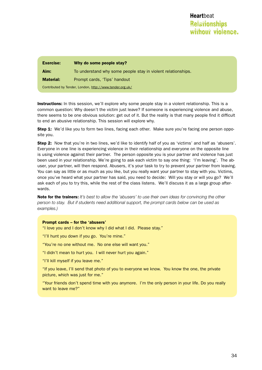| <b>Exercise:</b>                                         | Why do some people stay?                                     |
|----------------------------------------------------------|--------------------------------------------------------------|
| Aim:                                                     | To understand why some people stay in violent relationships. |
| <b>Material:</b>                                         | Prompt cards, 'Tips' handout                                 |
| Contributed by Tender, London, http://www.tender.org.uk/ |                                                              |

Instructions: In this session, we'll explore why some people stay in a violent relationship. This is a common question: Why doesn't the victim just leave? If someone is experiencing violence and abuse, there seems to be one obvious solution: get out of it. But the reality is that many people find it difficult to end an abusive relationship. This session will explore why.

**Step 1:** We'd like you to form two lines, facing each other. Make sure you're facing one person opposite you.

Step 2: Now that you're in two lines, we'd like to identify half of you as 'victims' and half as 'abusers'. Everyone in one line is experiencing violence in their relationship and everyone on the opposite line is using violence against their partner. The person opposite you is your partner and violence has just been used in your relationship. We're going to ask each victim to say one thing: 'I'm leaving'. The abuser, your partner, will then respond. Abusers, it's your task to try to prevent your partner from leaving. You can say as little or as much as you like, but you really want your partner to stay with you. Victims, once you've heard what your partner has said, you need to decide: Will you stay or will you go? We'll ask each of you to try this, while the rest of the class listens. We'll discuss it as a large group afterwards.

Note for the trainers: *It's best to allow the 'abusers' to use their own ideas for convincing the other person to stay. But if students need additional support, the prompt cards below can be used as examples.)* 

#### Prompt cards – for the 'abusers'

- "I love you and I don't know why I did what I did. Please stay."
- "I'll hunt you down if you go. You're mine."
- "You're no one without me. No one else will want you."
- "I didn't mean to hurt you. I will never hurt you again."
- "I'll kill myself if you leave me."

"If you leave, I'll send that photo of you to everyone we know. You know the one, the private picture, which was just for me."

"Your friends don't spend time with you anymore. I'm the only person in your life. Do you really want to leave me?"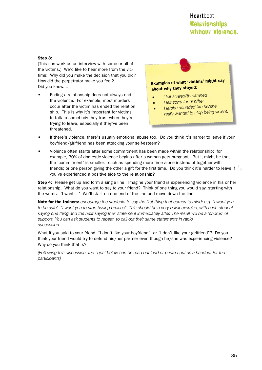# **Relationships** without violence. **Heart**beat

#### Step 3:

(This can work as an interview with some or all of the victims.) We'd like to hear more from the victims: Why did you make the decision that you did? How did the perpetrator make you feel? Did you know...:

Ending a relationship does not always end the violence. For example, most murders occur after the victim has ended the relation ship. This is why it's important for victims to talk to somebody they trust when they're trying to leave, especially if they've been threatened.



- *• <sup>I</sup> felt scared/threatene<sup>d</sup>*
	- *• <sup>I</sup> felt sorry for him/her*
- *• He/she sounded like he/she really wanted to stop being violent.*
- • If there's violence, there's usually emotional abuse too. Do you think it's harder to leave if your boyfriend/girlfriend has been attacking your self-esteem?
- Violence often starts after some commitment has been made within the relationship: for example, 30% of domestic violence begins after a woman gets pregnant. But it might be that the 'commitment' is smaller: such as spending more time alone instead of together with friends; or one person giving the other a gift for the first time. Do you think it's harder to leave if you've experienced a positive side to the relationship?

Step 4: Please get up and form a single line. Imagine your friend is experiencing violence in his or her relationship. What do you want to say to your friend? Think of one thing you would say, starting with the words: 'I want....' We'll start on one end of the line and move down the line.

Note for the trainers: *encourage the students to say the first thing that comes to mind; e.g. "I want you to be safe" "I want you to stop having bruises". This should be a very quick exercise, with each student saying one thing and the next saying their statement immediately after. The result will be a 'chorus' of support. You can ask students to repeat, to call out their same statements in rapid succession.* 

What if you said to your friend, "I don't like your boyfriend" or "I don't like your girlfriend"? Do you think your friend would try to defend his/her partner even though he/she was experiencing violence? Why do you think that is?

*(Following this discussion, the 'Tips' below can be read out loud or printed out as a handout for the participants)*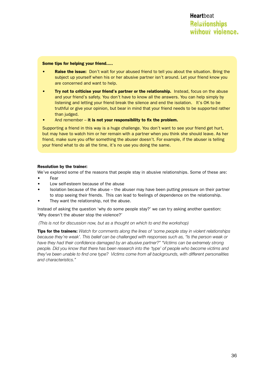#### Some tips for helping your friend.....

- Raise the issue: Don't wait for your abused friend to tell you about the situation. Bring the subject up yourself when his or her abusive partner isn't around. Let your friend know you are concerned and want to help.
- Try not to criticise your friend's partner or the relationship. Instead, focus on the abuse and your friend's safety. You don't have to know all the answers. You can help simply by listening and letting your friend break the silence and end the isolation. It's OK to be truthful or give your opinion, but bear in mind that your friend needs to be supported rather than judged.
- And remember  $-$  it is not your responsibility to fix the problem.

Supporting a friend in this way is a huge challenge. You don't want to see your friend get hurt, but may have to watch him or her remain with a partner when you think she should leave. As her friend, make sure you offer something the abuser doesn't. For example, if the abuser is telling your friend what to do all the time, it's no use you doing the same.

#### Resolution by the trainer:

We've explored some of the reasons that people stay in abusive relationships. Some of these are:

- **Fear**
- Low self-esteem because of the abuse
- Isolation because of the abuse the abuser may have been putting pressure on their partner to stop seeing their friends. This can lead to feelings of dependence on the relationship.
- They want the relationship, not the abuse.

Instead of asking the question 'why do some people stay?' we can try asking another question: 'Why doesn't the abuser stop the violence?'

#### *(This is not for discussion now, but as a thought on which to end the workshop)*

Tips for the trainers: *Watch for comments along the lines of 'some people stay in violent relationships because they're weak'. This belief can be challenged with responses such as, "Is the person weak or have they had their confidence damaged by an abusive partner?" "Victims can be extremely strong people. Did you know that there has been research into the 'type' of people who become victims and they've been unable to find one type? Victims come from all backgrounds, with different personalities and characteristics."*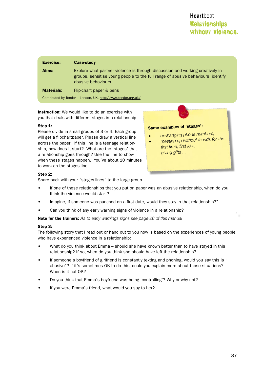| <b>Exercise:</b>                                              | <b>Case-study</b>                                                                                                                                                                       |
|---------------------------------------------------------------|-----------------------------------------------------------------------------------------------------------------------------------------------------------------------------------------|
| Aims:                                                         | Explore what partner violence is through discussion and working creatively in<br>groups, sensitise young people to the full range of abusive behaviours, identify<br>abusive behaviours |
| <b>Materials:</b>                                             | Flip-chart paper & pens                                                                                                                                                                 |
| Contributed by Tender - London, UK, http://www.tender.org.uk/ |                                                                                                                                                                                         |

**Instruction:** We would like to do an exercise with you that deals with different stages in a relationship.

#### Step 1:

Please divide in small groups of 3 or 4. Each group will get a flipchartpaper. Please draw a vertical line across the paper. If this line is a teenage relationship, how does it start? What are the 'stages' that a relationship goes through? Use the line to show when these stages happen. You've about 10 minutes to work on the stages-line.

# Some examples of 'stages':

- *• exchanging phone numbers,*
- *• meeting up without friends for the first time, first kiss, giving gifts ...*

#### Step 2:

Share back with your "stages-lines" to the large group

- If one of these relationships that you put on paper was an abusive relationship, when do you think the violence would start?
- Imagine, if someone was punched on a first date, would they stay in that relationship?"
- Can you think of any early warning signs of violence in a relationship?

Note for the trainers: *As to early warnings signs see page 26 of this manual*

#### Step 3:

The following story that I read out or hand out to you now is based on the experiences of young people who have experienced violence in a relationship:

- What do you think about Emma should she have known better than to have stayed in this relationship? If so, when do you think she should have left the relationship?
- If someone's boyfriend of girlfriend is constantly texting and phoning, would you say this is ' abusive"? If it's sometimes OK to do this, could you explain more about those situations? When is it not OK?
- Do you think that Emma's boyfriend was being 'controlling'? Why or why not?
- If you were Emma's friend, what would you say to her?

 $\hat{\Pi}$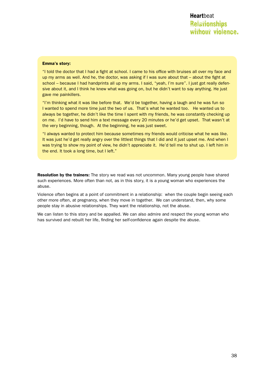#### Emma's story:

"I told the doctor that I had a fight at school. I came to his office with bruises all over my face and up my arms as well. And he, the doctor, was asking if I was sure about that – about the fight at school - because I had handprints all up my arms. I said, "yeah, I'm sure". I just got really defensive about it, and I think he knew what was going on, but he didn't want to say anything. He just gave me painkillers.

"I'm thinking what it was like before that. We'd be together, having a laugh and he was fun so I wanted to spend more time just the two of us. That's what he wanted too. He wanted us to always be together, he didn't like the time I spent with my friends, he was constantly checking up on me. I'd have to send him a text message every 20 minutes or he'd get upset. That wasn't at the very beginning, though. At the beginning, he was just sweet.

"I always wanted to protect him because sometimes my friends would criticise what he was like. It was just he'd get really angry over the littlest things that I did and it just upset me. And when I was trying to show my point of view, he didn't appreciate it. He'd tell me to shut up. I left him in the end. It took a long time, but I left."

**Resolution by the trainers:** The story we read was not uncommon. Many young people have shared such experiences. More often than not, as in this story, it is a young woman who experiences the abuse.

Violence often begins at a point of commitment in a relationship: when the couple begin seeing each other more often, at pregnancy, when they move in together. We can understand, then, why some people stay in abusive relationships. They want the relationship, not the abuse.

We can listen to this story and be appalled. We can also admire and respect the young woman who has survived and rebuilt her life, finding her self-confidence again despite the abuse.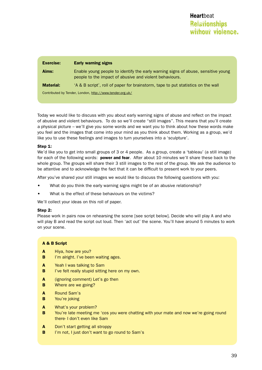| <b>Exercise:</b>                                         | <b>Early warning signs</b>                                                                                                                   |
|----------------------------------------------------------|----------------------------------------------------------------------------------------------------------------------------------------------|
| Aims:                                                    | Enable young people to identify the early warning signs of abuse, sensitive young<br>people to the impact of abusive and violent behaviours. |
| <b>Material:</b>                                         | 'A & B script', roll of paper for brainstorm, tape to put statistics on the wall                                                             |
| Contributed by Tender, London, http://www.tender.org.uk/ |                                                                                                                                              |

Today we would like to discuss with you about early warning signs of abuse and reflect on the impact of abusive and violent behaviours. To do so we'll create "still images". This means that you'll create a physical picture – we'll give you some words and we want you to think about how these words make you feel and the images that come into your mind as you think about them. Working as a group, we'd like you to use these feelings and images to turn yourselves into a 'sculpture'.

#### Step 1:

We'd like you to get into small groups of 3 or 4 people. As a group, create a 'tableau' (a still image) for each of the following words: **power and fear.** After about 10 minutes we'll share these back to the whole group. The groups will share their 3 still images to the rest of the group. We ask the audience to be attentive and to acknowledge the fact that it can be difficult to present work to your peers.

After you've shared your still images we would like to discuss the following questions with you:

- What do you think the early warning signs might be of an abusive relationship?
- What is the effect of these behaviours on the victims?

We'll collect your ideas on this roll of paper.

#### Step 2:

Please work in pairs now on rehearsing the scene [see script below]. Decide who will play A and who will play B and read the script out loud. Then 'act out' the scene. You'll have around 5 minutes to work on your scene.

#### A & B Script

- A Hiya, how are you?
- **B** I'm alright. I've been waiting ages.
- A Yeah I was talking to Sam
- **B** I've felt really stupid sitting here on my own.
- A (ignoring comment) Let's go then
- **B** Where are we going?
- A Round Sam's
- **B** You're joking
- A What's your problem?
- **B** You're late meeting me 'cos you were chatting with your mate and now we're going round there- I don't even like Sam
- A Don't start getting all stroppy
- **B** I'm not, I just don't want to go round to Sam's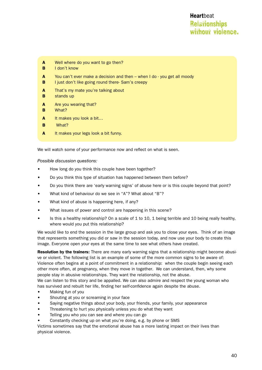- A Well where do you want to go then?
- **B** I don't know
- $A$  You can't ever make a decision and then when I do you get all moody
- **B** I just don't like going round there- Sam's creepy
- A That's my mate you're talking about
- **B** stands up
- A Are you wearing that?
- **B** What?
- A It makes you look a bit...
- **B** What?
- A It makes your legs look a bit funny.

We will watch some of your performance now and reflect on what is seen.

*Possible discussion questions:*

- How long do you think this couple have been together?
- Do you think this type of situation has happened between them before?
- Do you think there are 'early warning signs' of abuse here or is this couple beyond that point?
- What kind of behaviour do we see in "A"? What about "B"?
- What kind of abuse is happening here, if any?
- What issues of power and control are happening in this scene?
- Is this a healthy relationship? On a scale of 1 to 10, 1 being terrible and 10 being really healthy, where would you put this relationship?

We would like to end the session in the large group and ask you to close your eyes. Think of an image that represents something you did or saw in the session today, and now use your body to create this image. Everyone open your eyes at the same time to see what others have created.

Resolution by the trainers: There are many early warning signs that a relationship might become abusive or violent. The following list is an example of some of the more common signs to be aware of: Violence often begins at a point of commitment in a relationship: when the couple begin seeing each other more often, at pregnancy, when they move in together. We can understand, then, why some people stay in abusive relationships. They want the relationship, not the abuse.

We can listen to this story and be appalled. We can also admire and respect the young woman who has survived and rebuilt her life, finding her self-confidence again despite the abuse.

- Making fun of you
- Shouting at you or screaming in your face
- Saying negative things about your body, your friends, your family, your appearance
- Threatening to hurt you physically unless you do what they want
- Telling you who you can see and where you can go
- Constantly checking up on what you're doing, e.g. by phone or SMS

Victims sometimes say that the emotional abuse has a more lasting impact on their lives than physical violence.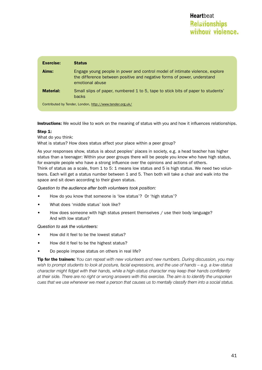| <b>Exercise:</b> | <b>Status</b>                                                                                                                                                              |
|------------------|----------------------------------------------------------------------------------------------------------------------------------------------------------------------------|
| Aims:            | Engage young people in power and control model of intimate violence, explore<br>the difference between positive and negative forms of power, understand<br>emotional abuse |
| <b>Material:</b> | Small slips of paper, numbered 1 to 5, tape to stick bits of paper to students'<br><b>backs</b>                                                                            |
|                  | Contributed by Tender, London, http://www.tender.org.uk/                                                                                                                   |

**Instructions:** We would like to work on the meaning of status with you and how it influences relationships.

#### Step 1:

What do you think:

What is status? How does status affect your place within a peer group?

As your responses show, status is about peoples' places in society, e.g. a head teacher has higher status than a teenager: Within your peer groups there will be people you know who have high status, for example people who have a strong influence over the opinions and actions of others. Think of status as a scale, from 1 to 5: 1 means low status and 5 is high status. We need two volunteers. Each will get a status number between 1 and 5. Then both will take a chair and walk into the space and sit down according to their given status.

*Question to the audience after both volunteers took position:* 

- How do you know that someone is 'low status'? Or 'high status'?
- What does 'middle status' look like?
- How does someone with high status present themselves / use their body language? And with low status?

*Question to ask the volunteers:*

- How did it feel to be the lowest status?
- How did it feel to be the highest status?
- Do people impose status on others in real life?

Tip for the trainers: Y*ou can repeat with new volunteers and new numbers. During discussion, you may wish to prompt students to look at posture, facial expressions, and the use of hands – e.g. a low-status character might fidget with their hands, while a high-status character may keep their hands confidently at their side. There are no right or wrong answers with this exercise. The aim is to identify the unspoken cues that we use whenever we meet a person that causes us to mentally classify them into a social status.*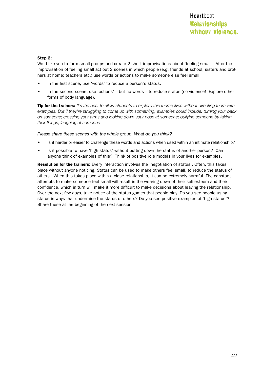#### Step 2:

We'd like you to form small groups and create 2 short improvisations about 'feeling small'. After the improvisation of feeling small act out 2 scenes in which people (e.g. friends at school; sisters and brothers at home; teachers etc.) use words or actions to make someone else feel small.

- In the first scene, use 'words' to reduce a person's status.
- In the second scene, use 'actions' but no words to reduce status (no violence! Explore other forms of body language).

Tip for the trainers: *It's the best to allow students to explore this themselves without directing them with examples. But if they're struggling to come up with something, examples could include: turning your back on someone; crossing your arms and looking down your nose at someone; bullying someone by taking their things; laughing at someone*

*Please share these scenes with the whole group. What do you think?*

- Is it harder or easier to challenge these words and actions when used within an intimate relationship?
- Is it possible to have 'high status' without putting down the status of another person? Can anyone think of examples of this? Think of positive role models in your lives for examples.

Resolution for the trainers: Every interaction involves the 'negotiation of status'. Often, this takes place without anyone noticing. Status can be used to make others feel small, to reduce the status of others. When this takes place within a close relationship, it can be extremely harmful. The constant attempts to make someone feel small will result in the wearing down of their self-esteem and their confidence, which in turn will make it more difficult to make decisions about leaving the relationship. Over the next few days, take notice of the status games that people play. Do you see people using status in ways that undermine the status of others? Do you see positive examples of 'high status'? Share these at the beginning of the next session.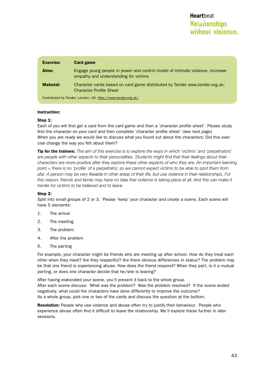| <b>Exercise:</b>                                             | <b>Card game</b>                                                                                                       |
|--------------------------------------------------------------|------------------------------------------------------------------------------------------------------------------------|
| Aims:                                                        | Engage young people in power and control model of intimate violence, increase<br>empathy and understanding for victims |
| <b>Material:</b>                                             | Character cards based on card game distributed by Tender www.tender.org.uk;<br><b>Character Profile Sheet</b>          |
| Contributed by Tender, London, UK, http://www.tender.org.uk/ |                                                                                                                        |

#### Instruction:

#### Step 1:

Each of you will first get a card from the card game and then a 'character profile sheet'. Please study first the character on your card and then complete 'character profile sheet' (see next page) When you are ready we would like to discuss what you found out about the characters: Did this exercise change the way you felt about them?

Tip for the trainers: *The aim of this exercise is to explore the ways in which 'victims' and 'perpetrators' are people with other aspects to their personalities. Students might find that their feelings about their characters are more positive after they explore these other aspects of who they are. An important learning point = there is no 'profile' of a perpetrator, so we cannot expect victims to be able to spot them from afar. A person may be very likeable in other areas of their life, but use violence in their relationships. For*  this reason, friends and family may have no idea that violence is taking place at all. And this can make it *harder for victims to be believed and to leave.*

#### Step 2:

Split into small groups of 2 or 3. Please 'keep' your character and create a scene. Each scene will have 5 elements:

- 1. The arrival
- 2. The meeting
- 3. The problem
- 4. After the problem
- 5. The parting

For example, your character might be friends who are meeting up after school. How do they treat each other when they meet? Are they respectful? Are there obvious differences in status? The problem may be that one friend is experiencing abuse. How does the friend respond? When they part, is it a mutual parting, or does one character decide that he/she is leaving?

After having elaborated your scene, you'll present it back to the whole group. After each scene discuss: What was the problem? Was the problem resolved? If the scene ended negatively, what could the characters have done differently to improve the outcome? As a whole group, pick one or two of the cards and discuss the question at the bottom.

Resolution: People who use violence and abuse often try to justify their behaviour. People who experience abuse often find it difficult to leave the relationship. We'll explore these further in later sessions.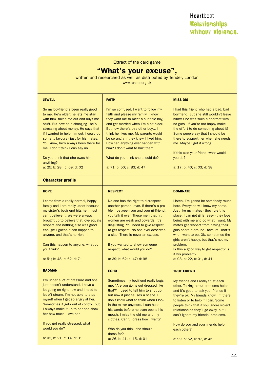**Relationships** without violence. **Heart**beat

Extract of the card game

# "What's your excuse",

written and researched as well as distributed by Tender, London

www.tender.org.uk

| <b>JEWELL</b>                                                                                                                                                                                                                                                                                                                                                                                                                         | <b>FAITH</b>                                                                                                                                                                                                                                                                                                                                                                                                                   | <b>MISS DIS</b>                                                                                                                                                                                                                                                                                                                                                                                                                                                             |
|---------------------------------------------------------------------------------------------------------------------------------------------------------------------------------------------------------------------------------------------------------------------------------------------------------------------------------------------------------------------------------------------------------------------------------------|--------------------------------------------------------------------------------------------------------------------------------------------------------------------------------------------------------------------------------------------------------------------------------------------------------------------------------------------------------------------------------------------------------------------------------|-----------------------------------------------------------------------------------------------------------------------------------------------------------------------------------------------------------------------------------------------------------------------------------------------------------------------------------------------------------------------------------------------------------------------------------------------------------------------------|
| So my boyfriend's been really good<br>to me. He's older; he lets me stay<br>with him, takes me out and buys me<br>stuff. But now he's changing - he's<br>stressing about money. He says that<br>if I wanted to help him out, I could do<br>some favours - just for his mates.<br>You know, he's always been there for<br>me. I don't think I can say no.<br>Do you think that she owes him<br>anything?<br>a: 25; b: 28; c: 09; d: 02 | I'm so confused. I want to follow my<br>faith and please my family. I know<br>they want me to meet a suitable boy.<br>and get married when I'm a bit older.<br>But now there's this other boy I<br>think he likes me. My parents would<br>be so angry if they knew I liked him.<br>How can anything ever happen with<br>him? I don't want to hurt them.<br>What do you think she should do?<br>a: 71; b: 50; c: 83; d: 47      | I had this friend who had a bad, bad<br>boyfriend. But she still wouldn't leave<br>him!!! She was such a doormat with<br>no guts - if you're not happy make<br>the effort to do something about it!<br>Some people say that I should be<br>there to support her when she needs<br>me. Maybe I got it wrong<br>If this was your friend, what would<br>you do?<br>a: 17; b: 40; c: 03; d: 38                                                                                  |
| <b>Character profile</b>                                                                                                                                                                                                                                                                                                                                                                                                              |                                                                                                                                                                                                                                                                                                                                                                                                                                |                                                                                                                                                                                                                                                                                                                                                                                                                                                                             |
| <b>HOPE</b>                                                                                                                                                                                                                                                                                                                                                                                                                           | <b>RESPECT</b>                                                                                                                                                                                                                                                                                                                                                                                                                 | <b>DOMINATE</b>                                                                                                                                                                                                                                                                                                                                                                                                                                                             |
| I come from a really normal, happy<br>family and I am really upset because<br>my sister's boyfriend hits her. I just<br>can't believe it. We were always<br>brought up to believe that love equals<br>respect and nothing else was good<br>enough! I guess it can happen to<br>anyone, and that's horrible!!!<br>Can this happen to anyone, what do<br>you think?<br>a: 51; b: 48; c: 62; d: 71                                       | No one has the right to disrespect<br>another person, ever. If there's a pro-<br>blem between you and your girlfriend,<br>you talk it over. These men that hit<br>women are weak and cowards. It's<br>disgusting. You need to give respect<br>to get respect. No one ever deserves<br>a slap. There is never an excuse.<br>If you wanted to show someone<br>respect, what would you do?<br>a: 39; b: 62; c: 47; d: 98          | Listen. I'm gonna be somebody round<br>here. Everyone will know my name.<br>Just like my mates - they rule this<br>place. I can get girls, easy - they love<br>being with me and do what I want. My<br>mates get respect from having their<br>girls share it around - favours. That's<br>who I want to be. Ok, sometimes the<br>girls aren't happy, but that's not my<br>problem.<br>Is this a good way to get respect? Is<br>it his problem?<br>a: 03, b: 22, c: 01, d: 41 |
| <b>BADMAN</b>                                                                                                                                                                                                                                                                                                                                                                                                                         | <b>ECHO</b>                                                                                                                                                                                                                                                                                                                                                                                                                    | <b>TRUE FRIEND</b>                                                                                                                                                                                                                                                                                                                                                                                                                                                          |
| I'm under a lot of pressure and she<br>just doesn't understand. I have a<br>lot going on right now and I need to<br>let off steam. I'm not able to stop<br>myself when I get so angry at her.<br>Sometimes it gets out of control, but<br>I always make it up to her and show<br>her how much I love her.<br>If you got really stressed, what<br>would you do?<br>a: 02, b: 21, c: 14, d: 31                                          | Sometimes my boyfriend really bugs<br>me: "Are you going out dressed like<br>that?" I used to tell him to shut up,<br>but now it just causes a scene. I<br>don't know what to think when I look<br>in the mirror anymore. I can hear<br>his words before he even opens his<br>mouth. I miss the old me and my<br>clothes. Can't I dress how I want?<br>Who do you think she should<br>dress for?<br>a: 26, b: 41, c: 15, d: 01 | My friends and I really trust each<br>other. Talking about problems helps<br>and it's good to ask your friends if<br>they're ok. My friends know I'm there<br>to listen or to help if I can. Some<br>people think that if you ignore violent<br>relationships they'll go away, but I<br>can't ignore my friends' problems.<br>How do you and your friends help<br>each other?<br>a: 99, b: 52, c: 87, d: 45                                                                 |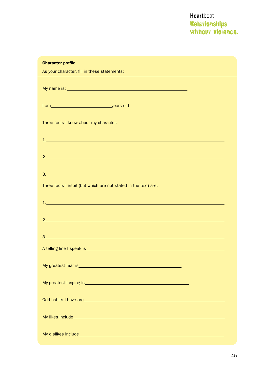| <b>Character profile</b>                                                                                                                                                                                                             |
|--------------------------------------------------------------------------------------------------------------------------------------------------------------------------------------------------------------------------------------|
| As your character, fill in these statements:<br><u> 1989 - Johann Stoff, amerikansk politiker (d. 1989)</u>                                                                                                                          |
|                                                                                                                                                                                                                                      |
|                                                                                                                                                                                                                                      |
| Three facts I know about my character:                                                                                                                                                                                               |
| <u>1. In the contract of the contract of the contract of the contract of the contract of the contract of the contract of the contract of the contract of the contract of the contract of the contract of the contract of the con</u> |
|                                                                                                                                                                                                                                      |
|                                                                                                                                                                                                                                      |
| Three facts I intuit (but which are not stated in the text) are:                                                                                                                                                                     |
| <u>1. In the contract of the contract of the contract of the contract of the contract of the contract of the con</u>                                                                                                                 |
|                                                                                                                                                                                                                                      |
|                                                                                                                                                                                                                                      |
|                                                                                                                                                                                                                                      |
|                                                                                                                                                                                                                                      |
|                                                                                                                                                                                                                                      |
| Odd habits I have are <b>the contract of the contract of the contract of the contract of the contract of the contract of the contract of the contract of the contract of the contract of the contract of the contract of the con</b> |
|                                                                                                                                                                                                                                      |
| My dislikes include <b>Antiques and Contact Contact Contact Contact Contact Contact Contact Contact Contact Contact Contact Contact Contact Contact Contact Contact Contact Contact Contact Contact Contact Contact Contact Cont</b> |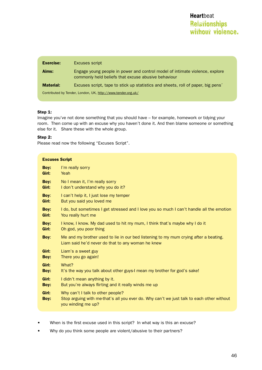| <b>Exercise:</b>                                             | Excuses script                                                                                                                      |
|--------------------------------------------------------------|-------------------------------------------------------------------------------------------------------------------------------------|
| Aims:                                                        | Engage young people in power and control model of intimate violence, explore<br>commonly held beliefs that excuse abusive behaviour |
| <b>Material:</b>                                             | Excuses script, tape to stick up statistics and sheets, roll of paper, big pens <sup>2</sup>                                        |
| Contributed by Tender, London, UK, http://www.tender.org.uk/ |                                                                                                                                     |

#### Step 1:

Imagine you've not done something that you should have – for example, homework or tidying your room. Then come up with an excuse why you haven't done it. And then blame someone or something else for it. Share these with the whole group.

#### Step 2:

Please read now the following "Excuses Script".

| <b>Excuses Script</b> |                                                                                                                                                      |
|-----------------------|------------------------------------------------------------------------------------------------------------------------------------------------------|
| Boy:                  | I'm really sorry                                                                                                                                     |
| Girl:                 | Yeah                                                                                                                                                 |
| Boy:                  | No I mean it, I'm really sorry                                                                                                                       |
| Girl:                 | I don't understand why you do it?                                                                                                                    |
| Boy:                  | I can't help it, I just lose my temper                                                                                                               |
| Girl:                 | But you said you loved me                                                                                                                            |
| Boy:                  | I do, but sometimes I get stressed and I love you so much I can't handle all the emotion                                                             |
| Girl:                 | You really hurt me                                                                                                                                   |
| Boy:                  | I know, I know. My dad used to hit my mum, I think that's maybe why I do it                                                                          |
| Girl:                 | Oh god, you poor thing                                                                                                                               |
| Boy:                  | Me and my brother used to lie in our bed listening to my mum crying after a beating.<br>Liam said he'd never do that to any woman he knew            |
| Girl:                 | Liam's a sweet guy                                                                                                                                   |
| Boy:                  | There you go again!                                                                                                                                  |
| Girl:                 | What?                                                                                                                                                |
| <b>Boy:</b>           | It's the way you talk about other guys-I mean my brother for god's sake!                                                                             |
| Girl:                 | I didn't mean anything by it.                                                                                                                        |
| Boy:                  | But you're always flirting and it really winds me up                                                                                                 |
| Girl:<br>Boy:         | Why can't I talk to other people?<br>Stop arguing with me-that's all you ever do. Why can't we just talk to each other without<br>you winding me up? |

- When is the first excuse used in this script? In what way is this an excuse?
- Why do you think some people are violent/abusive to their partners?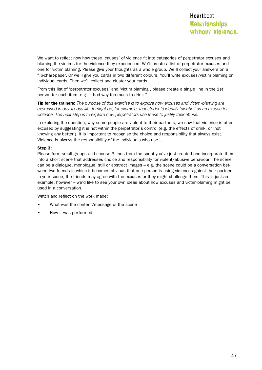We want to reflect now how these 'causes' of violence fit into categories of perpetrator excuses and blaming the victims for the violence they experienced. We'll create a list of perpetrator excuses and one for victim blaming. Please give your thoughts as a whole group. We'll collect your answers on a flip-chart-paper. Or we'll give you cards in two different colours. You'll write excuses/victim blaming on individual cards. Then we'll collect and cluster your cards.

From this list of 'perpetrator excuses' and 'victim blaming', please create a single line in the 1st person for each item, e.g. "I had way too much to drink."

Tip for the trainers: *The purpose of this exercise is to explore how excuses and victim-blaming are expressed in day-to-day life. It might be, for example, that students identify 'alcohol' as an excuse for violence. The next step is to explore how perpetrators use these to justify their abuse.*

In exploring the question, why some people are violent to their partners, we saw that violence is often excused by suggesting it is not within the perpetrator's control (e.g. the effects of drink, or 'not knowing any better'). It is important to recognise the choice and responsibility that always exist. Violence is always the responsibility of the individuals who use it.

#### Step 3:

Please form small groups and choose 3 lines from the script you've just created and incorporate them into a short scene that addresses choice and responsibility for violent/abusive behaviour. The scene can be a dialogue, monologue, still or abstract images – e.g. the scene could be a conversation between two friends in which it becomes obvious that one person is using violence against their partner. In your scene, the friends may agree with the excuses or they might challenge them. This is just an example, however – we'd like to see your own ideas about how excuses and victim-blaming might be used in a conversation.

Watch and reflect on the work made:

- What was the content/message of the scene
- How it was performed.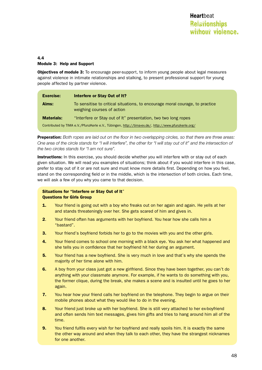#### 4.4 Module 3: Help and Support

**Objectives of module 3:** To encourage peer-support, to inform young people about legal measures against violence in intimate relationships and stalking, to present professional support for young people affected by partner violence.

| <b>Exercise:</b>                                                                                   | Interfere or Stay Out of It?                                                                               |
|----------------------------------------------------------------------------------------------------|------------------------------------------------------------------------------------------------------------|
| Aims:                                                                                              | To sensitise to critical situations, to encourage moral courage, to practice<br>weighing courses of action |
| <b>Materials:</b>                                                                                  | "Interfere or Stay out of It" presentation, two two long ropes                                             |
| Contributed by TIMA e.V./PfunzKerle e.V., Tübingen, http://tima-ev.de/, http://www.pfunzkerle.org/ |                                                                                                            |

Preperation: *Both ropes are laid out on the floor in two overlapping circles, so that there are three areas: One area of the circle stands for "I will interfere", the other for "I will stay out of it" and the intersection of the two circles stands for "I am not sure".*

Instructions: In this exercise, you should decide whether you will interfere with or stay out of each given situation. We will read you examples of situations; think about if you would interfere in this case, prefer to stay out of it or are not sure and must know more details first. Depending on how you feel, stand on the corresponding field or in the middle, which is the intersection of both circles. Each time, we will ask a few of you why you came to that decision.

#### Situations for "Interfere or Stay Out of It" Questions for Girls Group

- **1.** Your friend is going out with a boy who freaks out on her again and again. He yells at her and stands threateningly over her. She gets scared of him and gives in.
- 2. Your friend often has arguments with her boyfriend. You hear how she calls him a "bastard".
- **3.** Your friend's boyfriend forbids her to go to the movies with you and the other girls.
- **4.** Your friend comes to school one morning with a black eye. You ask her what happened and she tells you in confidence that her boyfriend hit her during an argument.
- **5.** Your friend has a new boyfriend. She is very much in love and that's why she spends the majority of her time alone with him.
- 6. A boy from your class just got a new girlfriend. Since they have been together, you can't do anything with your classmate anymore. For example, if he wants to do something with you, the former clique, during the break, she makes a scene and is insulted until he goes to her again.
- **7.** You hear how your friend calls her boyfriend on the telephone. They begin to argue on their mobile phones about what they would like to do in the evening.
- 8. Your friend just broke up with her boyfriend. She is still very attached to her ex-boyfriend and often sends him text messages, gives him gifts and tries to hang around him all of the time.
- **9.** You friend fulfils every wish for her boyfriend and really spoils him. It is exactly the same the other way around and when they talk to each other, they have the strangest nicknames for one another.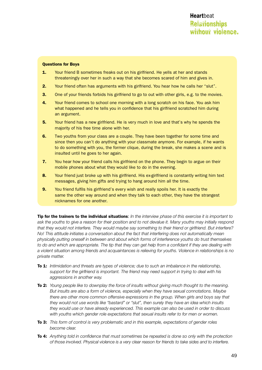#### Questions for Boys

- **1.** Your friend B sometimes freaks out on his girlfriend. He yells at her and stands threateningly over her in such a way that she becomes scared of him and gives in.
- 2. Your friend often has arguments with his girlfriend. You hear how he calls her "slut".
- 3. One of your friends forbids his girlfriend to go to out with other girls, e.g. to the movies.
- 4. Your friend comes to school one morning with a long scratch on his face. You ask him what happened and he tells you in confidence that his girlfriend scratched him during an argument.
- **5.** Your friend has a new girlfriend. He is very much in love and that's why he spends the majority of his free time alone with her.
- 6. Two youths from your class are a couple. They have been together for some time and since then you can't do anything with your classmate anymore. For example, if he wants to do something with you, the former clique, during the break, she makes a scene and is insulted until he goes to her again.
- **7.** You hear how your friend calls his girlfriend on the phone. They begin to argue on their mobile phones about what they would like to do in the evening.
- 8. Your friend just broke up with his girlfriend. His ex-girlfriend is constantly writing him text messages, giving him gifts and trying to hang around him all the time.
- 9. You friend fulfils his girlfriend's every wish and really spoils her. It is exactly the same the other way around and when they talk to each other, they have the strangest nicknames for one another.

Tip for the trainers to the individual situations: *In the interview phase of this exercise it is important to ask the youths to give a reason for their position and to not devalue it. Many youths may initially respond that they would not interfere. They would maybe say something to their friend or girlfriend. But interfere? No! This attitude initiates a conversation about the fact that interfering does not automatically mean physically putting oneself in between and about which forms of interference youths do trust themselves to do and which are appropriate. The tip that they can get help from a confidant if they are dealing with a violent situation among friends and acquaintances is relieving for youths. Violence in relationships is no private matter.*

- To 1: *Intimidation and threats are types of violence; due to such an imbalance in the relationship, support for the girlfriend is important. The friend may need support in trying to deal with his aggressions in another way.*
- To 2: *Young people like to downplay the force of insults without giving much thought to the meaning. But insults are also a form of violence, especially when they have sexual connotations. Maybe there are other more common offensive expressions in the group. When girls and boys say that they would not use words like "bastard" or "slut", then surely they have an idea which insults they would use or have already experienced. This example can also be used in order to discuss with youths which gender role expectations that sexual insults refer to for men or women.*
- To 3: *This form of control is very problematic and in this example, expectations of gender roles become clear.*
- To 4: *Anything told in confidence that must sometimes be repeated is done so only with the protection of those involved. Physical violence is a very clear reason for friends to take sides and to interfere.*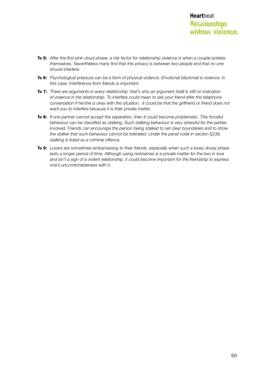- To 5: *After the first pink cloud phase, a risk factor for relationship violence is when a couple isolates themselves. Nevertheless many find that this privacy is between two people and that no one should interfere.*
- To 6: *Psychological pressure can be a form of physical violence. Emotional blackmail is violence. In this case, interference from friends is important.*
- To 7: *There are arguments in every relationship; that's why an argument itself is still no indication of violence in the relationship. To interfere could mean to ask your friend after the telephone conversation if he/she is okay with the situation. It could be that the girlfriend or friend does not want you to interfere because it is their private matter.*
- To 8: *If one partner cannot accept the separation, then it could become problematic. This forceful behaviour can be classified as stalking. Such stalking behaviour is very stressful for the parties involved. Friends can encourage the person being stalked to set clear boundaries and to show the stalker that such behaviour cannot be tolerated. Under the penal code in section §238, stalking is listed as a criminal offence.*
- To 9: *Lovers are sometimes embarrassing to their friends, especially when such a lovey-dovey phase*  lasts a longer period of time. Although using nicknames is a private matter for the two in love *and isn't a sign of a violent relationship, it could become important for the friendship to express one's uncomfortableness with it*.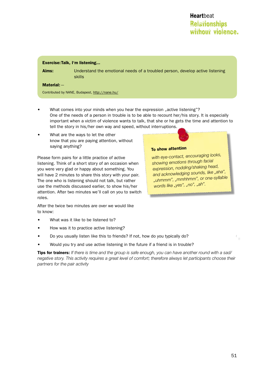#### Exercise: Talk, I'm listening...

Aims: Understand the emotional needs of a troubled person, develop active listening skills

#### $$

Contributed by NANE, Budapest, http://nane.hu/

- What comes into your minds when you hear the expression "active listening"? One of the needs of a person in trouble is to be able to recount her/his story. It is especially important when a victim of violence wants to talk, that she or he gets the time and attention to tell the story in his/her own way and speed, without interruptions.
- What are the ways to let the other know that you are paying attention, without saying anything?

Please form pairs for a little practice of active listening. Think of a short story of an occasion when you were very glad or happy about something. You will have 2 minutes to share this story with your pair. The one who is listening should not talk, but rather use the methods discussed earlier, to show his/her attention. After two minutes we'll call on you to switch roles.

After the twice two minutes are over we would like to know:

- What was it like to be listened to?
- How was it to practice active listening?
- Do you usually listen like this to friends? If not, how do you typically do?
- Would you try and use active listening in the future if a friend is in trouble?

Tips for trainers: *If there is time and the group is safe enough, you can have another round with a sad/ negative story. This activity requires a great level of comfort; therefore always let participants choose their partners for the pair activity*

#### To show attention

*with eye-contact, encouraging looks, showing emotions through facial expression, nodding/shaking head,*  and acknowledging sounds, like "aha", *"uhmmm", "mmhhmm", or one-syllable words like "yes", "no", "ah".*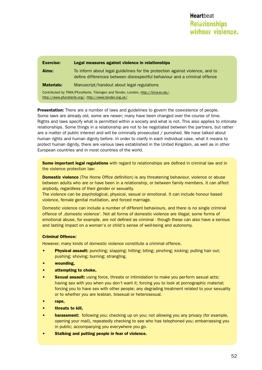| <b>Exercise:</b>                                                                                                                          | Legal measures against violence in relationships                                                                                                          |
|-------------------------------------------------------------------------------------------------------------------------------------------|-----------------------------------------------------------------------------------------------------------------------------------------------------------|
| Aims:                                                                                                                                     | To inform about legal guidelines for the protection against violence, and to<br>define differences between disrespectful behaviour and a criminal offence |
| <b>Materials:</b>                                                                                                                         | Manuscript/handout about legal regulations                                                                                                                |
| Contributed by TIMA/PfunzKerle, Tübingen and Tender, London, http://tima-ev.de/,<br>http://www.pfunzkerle.org/, http://www.tender.org.uk/ |                                                                                                                                                           |

Presentation: There are a number of laws and guidelines to govern the coexistence of people. Some laws are already old, some are newer; many have been changed over the course of time. Rights and laws specify what is permitted within a society and what is not. This also applies to intimate relationships. Some things in a relationship are not to be negotiated between the partners, but rather are a matter of public interest and will be criminally prosecuted / punished. We have talked about human rights and human dignity before. In order to clarify in each individual case, what it means to protect human dignity, there are various laws established in the United Kingdom, as well as in other European countries and in most countries of the world.

Some important legal regulations with regard to relationships are defined in criminal law and in the violence protection law:

**Domestic violence** (The Home Office definition) is any threatening behaviour, violence or abuse between adults who are or have been in a relationship, or between family members. It can affect anybody, regardless of their gender or sexuality.

The violence can be psychological, physical, sexual or emotional. It can include honour based violence, female genital mutilation, and forced marriage.

Domestic violence can include a number of different behaviours, and there is no single criminal offence of , domestic violence'. Not all forms of domestic violence are illegal; some forms of emotional abuse, for example, are not defined as criminal - though these can also have a serious and lasting impact on a woman's or child's sense of well-being and autonomy.

#### Criminal Offence:

However, many kinds of domestic violence constitute a criminal offence,

- Physical assault: punching; slapping; hitting; biting; pinching; kicking; pulling hair out; pushing; shoving; burning; strangling.
- wounding,
- attempting to choke,
- **Sexual assault:** using force, threats or intimidation to make you perform sexual acts; having sex with you when you don't want it; forcing you to look at pornographic material; forcing you to have sex with other people; any degrading treatment related to your sexuality or to whether you are lesbian, bisexual or heterosexual.
- rape.
- threats to kill,
- **harassment:** following you; checking up on you; not allowing you any privacy (for example, opening your mail), repeatedly checking to see who has telephoned you; embarrassing you in public; accompanying you everywhere you go.
- • Stalking and putting people in fear of violence.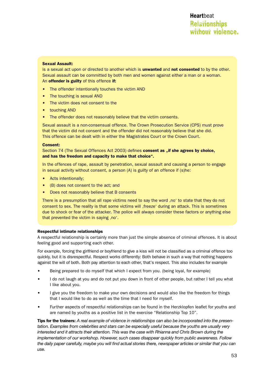#### Sexual Assault:

is a sexual act upon or directed to another which is unwanted and not consented to by the other. Sexual assault can be committed by both men and women against either a man or a woman. An offender is guilty of this offence if:

- The offender intentionally touches the victim AND
- The touching is sexual AND
- The victim does not consent to the
- touching AND
- The offender does not reasonably believe that the victim consents.

Sexual assault is a non-consensual offence. The Crown Prosecution Service (CPS) must prove that the victim did not consent and the offender did not reasonably believe that she did. This offence can be dealt with in either the Magistrates Court or the Crown Court.

#### Consent:

Section 74 (The Sexual Offences Act 2003) defines **consent as ..if she agrees by choice.** and has the freedom and capacity to make that choice".

In the offences of rape, assault by penetration, sexual assault and causing a person to engage in sexual activity without consent, a person (A) is guilty of an offence if (s)he:

- Acts intentionally;
- • (B) does not consent to the act; and
- Does not reasonably believe that B consents

There is a presumption that all rape victims need to say the word 'no' to state that they do not consent to sex. The reality is that some victims will 'freeze' during an attack. This is sometimes due to shock or fear of the attacker. The police will always consider these factors or anything else that prevented the victim in saying , no'.

#### Respectful intimate relationships

A respectful relationship is certainly more than just the simple absence of criminal offences. It is about feeling good and supporting each other.

For example, forcing the girlfriend or boyfriend to give a kiss will not be classified as a criminal offence too quickly, but it is disrespectful. Respect works differently: Both behave in such a way that nothing happens against the will of both. Both pay attention to each other, that's respect. This also includes for example

- Being prepared to do myself that which I expect from you. (being loyal, for example)
- I do not laugh at you and do not put you down in front of other people, but rather I tell you what I like about you.
- I give you the freedom to make your own decisions and would also like the freedom for things that I would like to do as well as the time that I need for myself.
- Further aspects of respectful relationships can be found in the Herzklopfen leaflet for youths and are named by youths as a positive list in the exercise "Relationship Top 10".

Tips for the trainers: *A real example of violence in relationships can also be incorporated into the presentation. Examples from celebrities and stars can be especially useful because the youths are usually very interested and it attracts their attention. This was the case with Rhianna and Chris Brown during the implementation of our workshop. However, such cases disappear quickly from public awareness. Follow the daily paper carefully, maybe you will find actual stories there, newspaper articles or similar that you can use.*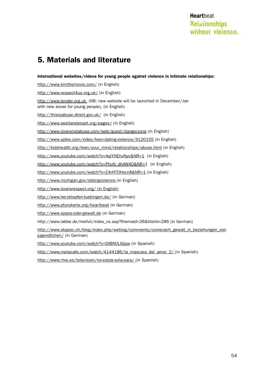# **Relationships** without violence. **Heart**beat

# 5. Materials and literature

International websites/videos for young people against violence in intimate relationships:

http://www.kimthemovie.com/ (in English)

http://www.respect4us.org.uk/ (in English)

http://www.tender.org.uk (NB: new website will be launched in December/Jan with new areas for young people), (in English)

http://thisisabuse.direct.gov.uk/ (in English)

http://www.seeitandstopit.org/pages/ (in English)

http://www.loveisnotabuse.com/web/guest/dangerzone (in English)

http://www.spike.com/video/teen-dating-violence/3120155 (in English)

http://kidshealth.org/teen/your\_mind/relationships/abuse.html (in English)

http://www.youtube.com/watch?v=AqiYNEhvNyc&NR=1 (in English)

http://www.youtube.com/watch?v=PhuN\_dhAW40&NR=1 (in English)

http://www.youtube.com/watch?v=Z4rHTOHxcn8&NR=1 (in English)

http://www.michigan.gov/datingviolence (in English)

http://www.loveisrespect.org/ (in English)

http://www.herzklopfen-tuebingen.de/ (in German)

http://www.pfunzkerle.org/heartbeat (in German)

http://www.spass-oder-gewalt.de (in German)

http://www.labbe.de/mellvil/index\_vs.asp?themaid=26&titelid=286 (in German)

http://www.skppsc.ch/blog/index.php/weblog/comments/comevach\_gewalt\_in\_beziehungen\_von jugendlichen/ (in German)

http://www.youtube.com/watch?v=DIBMJLlGjqw (in Spanish)

http://www.metacafe.com/watch/4144186/la\_mascara\_del\_amor\_2/ (in Spanish)

http://www.rtve.es/television/no-estas-sola-sara/ (in Spanish)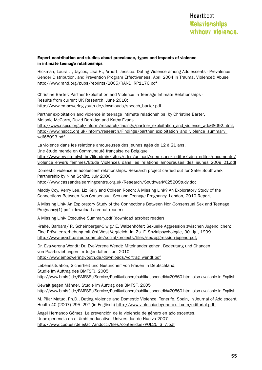#### Expert contribution and studies about prevalence, types and impacts of violence in intimate teenage relationships

Hickman, Laura J., Jaycox, Lisa H., Arnoff, Jessica: Dating Violence among Adolescents - Prevalence, Gender Distribution, and Prevention Program Effectiveness, April 2004 in Trauma, Violence& Abuse http://www.rand.org/pubs/reprints/2005/RAND\_RP1176.pdf

Christine Barter: Partner Exploitation and Violence in Teenage Intimate Relationships - Results from current UK Research, June 2010: http://www.empowering-youth.de/downloads/speech\_barter.pdf

Partner exploitation and violence in teenage intimate relationships, by Christine Barter, Melanie McCarry, David Berridge and Kathy Evans.

http://www.nspcc.org.uk/inform/research/findings/partner\_exploitation\_and\_violence\_wda68092.html, http://www.nspcc.org.uk/Inform/research/Findings/partner\_exploitation\_and\_violence\_summary\_ wdf68093.pdf

La violence dans les relations amoureuses des jeunes agés de 12 à 21 ans.

Une étude menée en Communauté française de Belgique

http://www.egalite.cfwb.be/fileadmin/sites/sdec/upload/sdec\_super\_editor/sdec\_editor/documents/ violence\_envers\_femmes/Etude\_Violences\_dans\_les\_relations\_amoureuses\_des\_jeunes\_2009\_01.pdf

Domestic violence in adolescent relationships. Research project carried out for Safer Southwark Partnership by Nina Schütt, July 2006

http://www.cassandralearningcentre.org.uk/Research/Southwark%2520Study.doc

Maddy Coy, Kerry Lee, Liz Kelly and Colleen Roach: A Missing Link? An Exploratory Study of the Connections Between Non-Consensual Sex and Teenage Pregnancy. London, 2010 Report

A Missing Link- An Exploratory Study of the Connections Between Non-Consensual Sex and Teenage Pregnancy(1).pdf (download acrobat reader)

A Missing Link- Executive Summary.pdf (download acrobat reader)

Krahé, Barbara/ R. Scheinberger-Olwig/ E. Walzenhöfer: Sexuelle Aggression zwischen Jugendlichen: Eine Prävalenzerhebung mit Ost-West-Vergleich, in: Zs. F. Sozialpsychologie, 30. Jg., 1999 http://www.psych.uni-potsdam.de/social/projects/files/sex-aggression-jugend.pdf,

Dr. Eva-Verena Wendt: Dr. Eva-Verena Wendt: Miteinander gehen. Bedeutung und Chancen von Paarbeziehungen im Jugendalter, Juni 2010 http://www.empowering-youth.de/downloads/vortrag\_wendt.pdf

Lebenssituation, Sicherheit und Gesundheit von Frauen in Deutschland, Studie im Auftrag des BMFSFJ, 2005 http://www.bmfsfj.de/BMFSFJ/Service/Publikationen/publikationen,did=20560.html also available in English

Gewalt gegen Männer, Studie im Auftrag des BMFSF, 2005 http://www.bmfsfj.de/BMFSFJ/Service/Publikationen/publikationen,did=20560.html also available in English

M. Pilar Matud, Ph.D., Dating Violence and Domestic Violence, Tenerife, Spain, in Journal of Adolescent Health 40 (2007) 295-297 (in Englisch) http://www.violenciadegenero-ull.com/editorial.pdf

Ángel Hernando Gómez: La prevención de la violencia de género en adolescentes. Unaexperiencia en el ámbitoeducativo, Universidad de Huelva 2007 http://www.cop.es/delegaci/andocci/files/contenidos/VOL25\_3\_7.pdf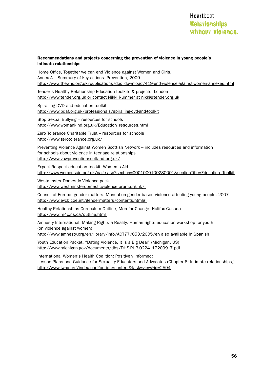#### Recommendations and projects concerning the prevention of violence in young people's intimate relationships

Home Office, Together we can end Violence against Women and Girls, Annex A – Summary of key actions. Prevention, 2009 http://www.thewnc.org.uk/publications/doc\_download/419-end-violence-against-women-annexes.html

Tender's Healthy Relationship Education toolkits & projects, London http://www.tender.org.uk or contact Nikki Rummer at nikki@tender.org.uk

Spiralling DVD and education toolkit http://www.bdaf.org.uk/professionals/spiralling-dvd-and-toolkit

Stop Sexual Bullying – resources for schools http://www.womankind.org.uk/Education\_resources.html

Zero Tolerance Charitable Trust – resources for schools http://www.zerotolerance.org.uk/

Preventing Violence Against Women Scottish Network – includes resources and information for schools about violence in teenage relationships http://www.vawpreventionscotland.org.uk/

Expect Respect education toolkit, Women's Aid http://www.womensaid.org.uk/page.asp?section=0001000100280001&sectionTitle=Education+Toolkit

Westminster Domestic Violence pack http://www.westminsterdomesticviolenceforum.org.uk/

Council of Europe: gender matters. Manual on gender based violence affecting young people, 2007 http://www.eycb.coe.int/gendermatters/contents.html#

Healthy Relationships Curriculum Outline, Men for Change, Halifax Canada http://www.m4c.ns.ca/outline.html

Amnesty International, Making Rights a Reality: Human rights education workshop for youth (on violence against women)

http://www.amnesty.org/en/library/info/ACT77/053/2005/en also available in Spanish

Youth Education Packet, "Dating Violence, It is a Big Deal" (Michigan, US) http://www.michigan.gov/documents/dhs/DHS-PUB-0224\_172099\_7.pdf

International Women's Health Coalition: Positively Informed: Lesson Plans and Guidance for Sexuality Educators and Advocates (Chapter 6: Intimate relationships,) http://www.iwhc.org/index.php?option=content&task=view&id=2594